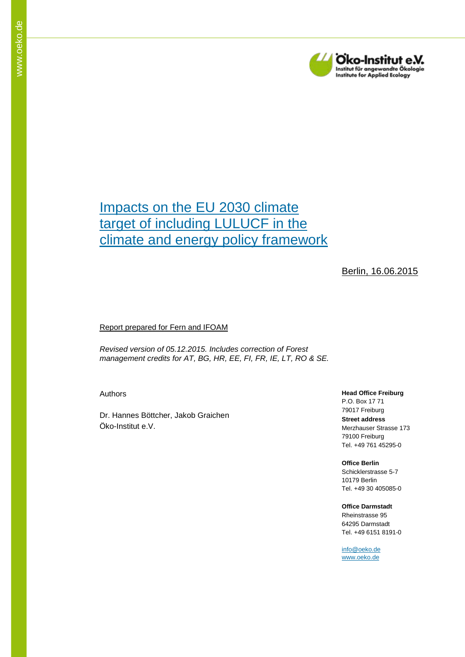

# <span id="page-0-0"></span>Impacts on the EU 2030 climate target of including LULUCF in the climate and energy policy framework

## Berlin, 16.06.2015

#### Report prepared for Fern and IFOAM

*Revised version of 05.12.2015. Includes correction of Forest management credits for AT, BG, HR, EE, FI, FR, IE, LT, RO & SE.*

Authors

Dr. Hannes Böttcher, Jakob Graichen Öko-Institut e.V.

#### **Head Office Freiburg**

P.O. Box 17 71 79017 Freiburg **Street address** Merzhauser Strasse 173 79100 Freiburg Tel. +49 761 45295-0

# **Office Berlin** Schicklerstrasse 5-7

10179 Berlin Tel. +49 30 405085-0

#### **Office Darmstadt** Rheinstrasse 95 64295 Darmstadt Tel. +49 6151 8191-0

[info@oeko.de](mailto:info@oeko.de) [www.oeko.de](http://www.oeko.de/)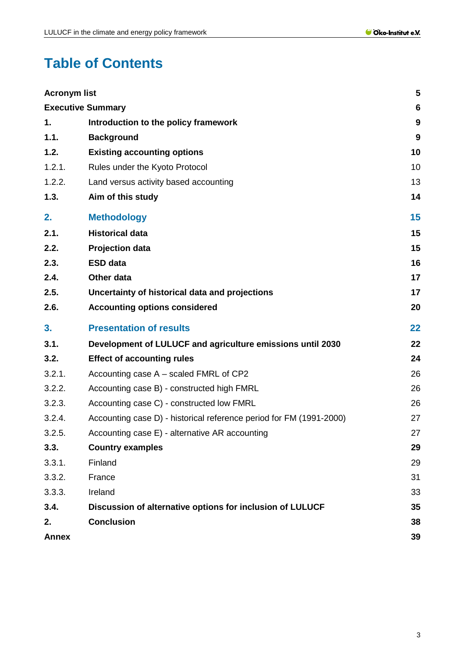# **Table of Contents**

| <b>Annex</b>             |                                                                     | 39               |
|--------------------------|---------------------------------------------------------------------|------------------|
| 2.                       | <b>Conclusion</b>                                                   | 38               |
| 3.4.                     | Discussion of alternative options for inclusion of LULUCF           | 35               |
| 3.3.3.                   | Ireland                                                             | 33               |
| 3.3.2.                   | France                                                              | 31               |
| 3.3.1.                   | Finland                                                             | 29               |
| 3.3.                     | <b>Country examples</b>                                             | 29               |
| 3.2.5.                   | Accounting case E) - alternative AR accounting                      | 27               |
| 3.2.4.                   | Accounting case D) - historical reference period for FM (1991-2000) | 27               |
| 3.2.3.                   | Accounting case C) - constructed low FMRL                           | 26               |
| 3.2.2.                   | Accounting case B) - constructed high FMRL                          | 26               |
| 3.2.1.                   | Accounting case A – scaled FMRL of CP2                              | 26               |
| 3.2.                     | <b>Effect of accounting rules</b>                                   | 24               |
| 3.1.                     | Development of LULUCF and agriculture emissions until 2030          | 22               |
| 3.                       | <b>Presentation of results</b>                                      | 22               |
| 2.6.                     | <b>Accounting options considered</b>                                | 20               |
| 2.5.                     | Uncertainty of historical data and projections                      | 17               |
| 2.4.                     | Other data                                                          | 17               |
| 2.3.                     | <b>ESD data</b>                                                     | 16               |
| 2.2.                     | <b>Projection data</b>                                              | 15               |
| 2.1.                     | <b>Historical data</b>                                              | 15               |
| 2.                       | <b>Methodology</b>                                                  | 15               |
| 1.3.                     | Aim of this study                                                   | 14               |
| 1.2.2.                   | Land versus activity based accounting                               | 13               |
| 1.2.1.                   | Rules under the Kyoto Protocol                                      | 10               |
| 1.2.                     | <b>Existing accounting options</b>                                  | 10               |
| 1.1.                     | <b>Background</b>                                                   | 9                |
| 1.                       | Introduction to the policy framework                                | $\boldsymbol{9}$ |
| <b>Executive Summary</b> |                                                                     | 6                |
| <b>Acronym list</b>      |                                                                     | 5                |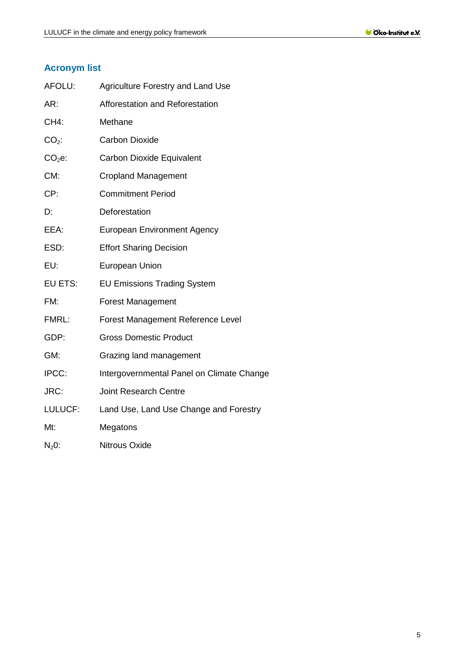# <span id="page-4-0"></span>**Acronym list**

| AFOLU:      | <b>Agriculture Forestry and Land Use</b>  |
|-------------|-------------------------------------------|
| AR:         | Afforestation and Reforestation           |
| <b>CH4:</b> | Methane                                   |
| $CO2$ :     | <b>Carbon Dioxide</b>                     |
| $CO2e$ :    | <b>Carbon Dioxide Equivalent</b>          |
| CM:         | <b>Cropland Management</b>                |
| CP:         | <b>Commitment Period</b>                  |
| D:          | Deforestation                             |
| EEA:        | <b>European Environment Agency</b>        |
| ESD:        | <b>Effort Sharing Decision</b>            |
| EU:         | <b>European Union</b>                     |
| EU ETS:     | <b>EU Emissions Trading System</b>        |
| FM:         | <b>Forest Management</b>                  |
| FMRL:       | Forest Management Reference Level         |
| GDP:        | <b>Gross Domestic Product</b>             |
| GM:         | Grazing land management                   |
| IPCC:       | Intergovernmental Panel on Climate Change |
| JRC:        | <b>Joint Research Centre</b>              |
| LULUCF:     | Land Use, Land Use Change and Forestry    |
| Mt:         | Megatons                                  |
| $N20$ :     | <b>Nitrous Oxide</b>                      |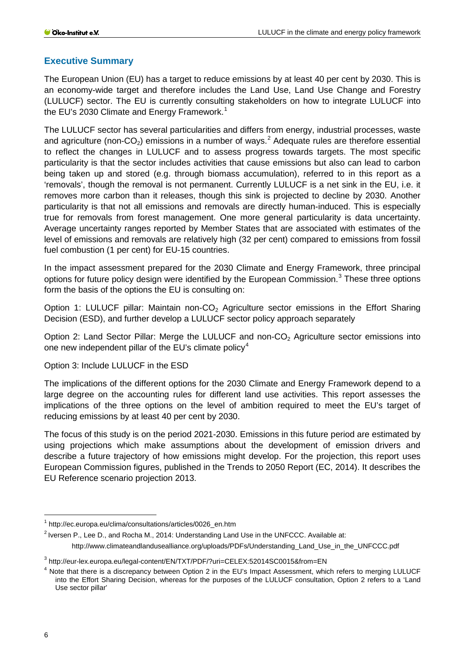## <span id="page-5-0"></span>**Executive Summary**

The European Union (EU) has a target to reduce emissions by at least 40 per cent by 2030. This is an economy-wide target and therefore includes the Land Use, Land Use Change and Forestry (LULUCF) sector. The EU is currently consulting stakeholders on how to integrate LULUCF into the EU's 2030 Climate and Energy Framework.<sup>[1](#page-5-1)</sup>

The LULUCF sector has several particularities and differs from energy, industrial processes, waste and agriculture (non-CO<sub>[2](#page-5-2)</sub>) emissions in a number of ways.<sup>2</sup> Adequate rules are therefore essential to reflect the changes in LULUCF and to assess progress towards targets. The most specific particularity is that the sector includes activities that cause emissions but also can lead to carbon being taken up and stored (e.g. through biomass accumulation), referred to in this report as a 'removals', though the removal is not permanent. Currently LULUCF is a net sink in the EU, i.e. it removes more carbon than it releases, though this sink is projected to decline by 2030. Another particularity is that not all emissions and removals are directly human-induced. This is especially true for removals from forest management. One more general particularity is data uncertainty. Average uncertainty ranges reported by Member States that are associated with estimates of the level of emissions and removals are relatively high (32 per cent) compared to emissions from fossil fuel combustion (1 per cent) for EU-15 countries.

In the impact assessment prepared for the 2030 Climate and Energy Framework, three principal options for future policy design were identified by the European Commission. [3](#page-5-3) These three options form the basis of the options the EU is consulting on:

Option 1: LULUCF pillar: Maintain non-CO<sub>2</sub> Agriculture sector emissions in the Effort Sharing Decision (ESD), and further develop a LULUCF sector policy approach separately

Option 2: Land Sector Pillar: Merge the LULUCF and non- $CO<sub>2</sub>$  Agriculture sector emissions into one new independent pillar of the EU's climate policy<sup>[4](#page-5-4)</sup>

Option 3: Include LULUCF in the ESD

The implications of the different options for the 2030 Climate and Energy Framework depend to a large degree on the accounting rules for different land use activities. This report assesses the implications of the three options on the level of ambition required to meet the EU's target of reducing emissions by at least 40 per cent by 2030.

The focus of this study is on the period 2021-2030. Emissions in this future period are estimated by using projections which make assumptions about the development of emission drivers and describe a future trajectory of how emissions might develop. For the projection, this report uses European Commission figures, published in the Trends to 2050 Report (EC, 2014). It describes the EU Reference scenario projection 2013.

<span id="page-5-1"></span> <sup>1</sup> http://ec.europa.eu/clima/consultations/articles/0026\_en.htm

<span id="page-5-2"></span> $2$  Iversen P., Lee D., and Rocha M., 2014: Understanding Land Use in the UNFCCC. Available at: http://www.climateandlandusealliance.org/uploads/PDFs/Understanding\_Land\_Use\_in\_the\_UNFCCC.pdf

<span id="page-5-3"></span><sup>3</sup> http://eur-lex.europa.eu/legal-content/EN/TXT/PDF/?uri=CELEX:52014SC0015&from=EN

<span id="page-5-4"></span><sup>&</sup>lt;sup>4</sup> Note that there is a discrepancy between Option 2 in the EU's Impact Assessment, which refers to merging LULUCF into the Effort Sharing Decision, whereas for the purposes of the LULUCF consultation, Option 2 refers to a 'Land Use sector pillar'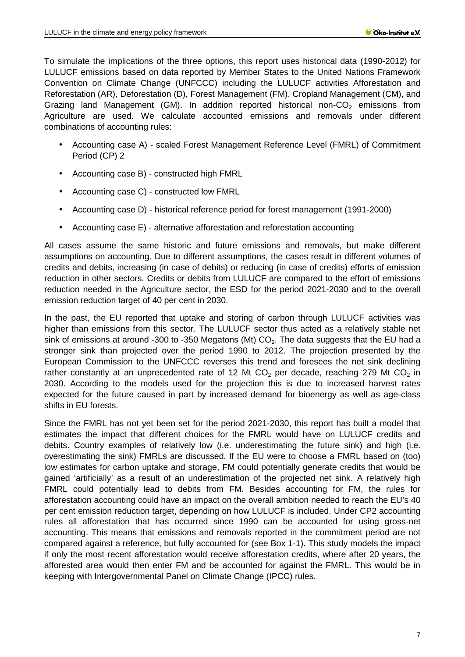To simulate the implications of the three options, this report uses historical data (1990-2012) for LULUCF emissions based on data reported by Member States to the United Nations Framework Convention on Climate Change (UNFCCC) including the LULUCF activities Afforestation and Reforestation (AR), Deforestation (D), Forest Management (FM), Cropland Management (CM), and Grazing land Management (GM). In addition reported historical non- $CO<sub>2</sub>$  emissions from Agriculture are used. We calculate accounted emissions and removals under different combinations of accounting rules:

- Accounting case A) scaled Forest Management Reference Level (FMRL) of Commitment Period (CP) 2
- Accounting case B) constructed high FMRL
- Accounting case C) constructed low FMRL
- Accounting case D) historical reference period for forest management (1991-2000)
- Accounting case E) alternative afforestation and reforestation accounting

All cases assume the same historic and future emissions and removals, but make different assumptions on accounting. Due to different assumptions, the cases result in different volumes of credits and debits, increasing (in case of debits) or reducing (in case of credits) efforts of emission reduction in other sectors. Credits or debits from LULUCF are compared to the effort of emissions reduction needed in the Agriculture sector, the ESD for the period 2021-2030 and to the overall emission reduction target of 40 per cent in 2030.

In the past, the EU reported that uptake and storing of carbon through LULUCF activities was higher than emissions from this sector. The LULUCF sector thus acted as a relatively stable net sink of emissions at around -300 to -350 Megatons (Mt)  $CO<sub>2</sub>$ . The data suggests that the EU had a stronger sink than projected over the period 1990 to 2012. The projection presented by the European Commission to the UNFCCC reverses this trend and foresees the net sink declining rather constantly at an unprecedented rate of 12 Mt  $CO<sub>2</sub>$  per decade, reaching 279 Mt  $CO<sub>2</sub>$  in 2030. According to the models used for the projection this is due to increased harvest rates expected for the future caused in part by increased demand for bioenergy as well as age-class shifts in EU forests.

Since the FMRL has not yet been set for the period 2021-2030, this report has built a model that estimates the impact that different choices for the FMRL would have on LULUCF credits and debits. Country examples of relatively low (i.e. underestimating the future sink) and high (i.e. overestimating the sink) FMRLs are discussed. If the EU were to choose a FMRL based on (too) low estimates for carbon uptake and storage, FM could potentially generate credits that would be gained 'artificially' as a result of an underestimation of the projected net sink. A relatively high FMRL could potentially lead to debits from FM. Besides accounting for FM, the rules for afforestation accounting could have an impact on the overall ambition needed to reach the EU's 40 per cent emission reduction target, depending on how LULUCF is included. Under CP2 accounting rules all afforestation that has occurred since 1990 can be accounted for using gross-net accounting. This means that emissions and removals reported in the commitment period are not compared against a reference, but fully accounted for (see Box 1-1). This study models the impact if only the most recent afforestation would receive afforestation credits, where after 20 years, the afforested area would then enter FM and be accounted for against the FMRL. This would be in keeping with Intergovernmental Panel on Climate Change (IPCC) rules.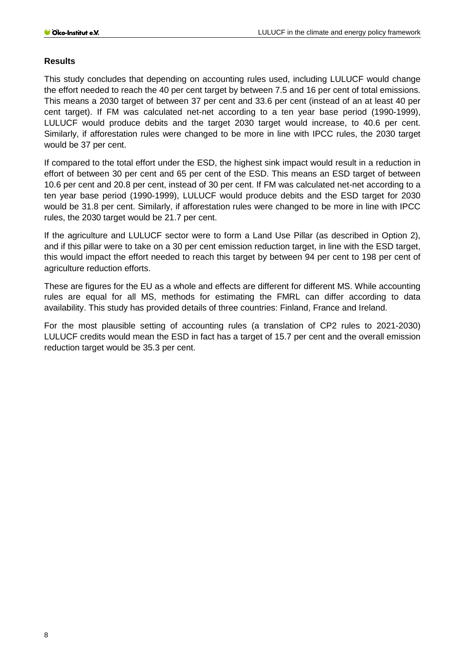#### **Results**

This study concludes that depending on accounting rules used, including LULUCF would change the effort needed to reach the 40 per cent target by between 7.5 and 16 per cent of total emissions. This means a 2030 target of between 37 per cent and 33.6 per cent (instead of an at least 40 per cent target). If FM was calculated net-net according to a ten year base period (1990-1999), LULUCF would produce debits and the target 2030 target would increase, to 40.6 per cent. Similarly, if afforestation rules were changed to be more in line with IPCC rules, the 2030 target would be 37 per cent.

If compared to the total effort under the ESD, the highest sink impact would result in a reduction in effort of between 30 per cent and 65 per cent of the ESD. This means an ESD target of between 10.6 per cent and 20.8 per cent, instead of 30 per cent. If FM was calculated net-net according to a ten year base period (1990-1999), LULUCF would produce debits and the ESD target for 2030 would be 31.8 per cent. Similarly, if afforestation rules were changed to be more in line with IPCC rules, the 2030 target would be 21.7 per cent.

If the agriculture and LULUCF sector were to form a Land Use Pillar (as described in Option 2), and if this pillar were to take on a 30 per cent emission reduction target, in line with the ESD target, this would impact the effort needed to reach this target by between 94 per cent to 198 per cent of agriculture reduction efforts.

These are figures for the EU as a whole and effects are different for different MS. While accounting rules are equal for all MS, methods for estimating the FMRL can differ according to data availability. This study has provided details of three countries: Finland, France and Ireland.

For the most plausible setting of accounting rules (a translation of CP2 rules to 2021-2030) LULUCF credits would mean the ESD in fact has a target of 15.7 per cent and the overall emission reduction target would be 35.3 per cent.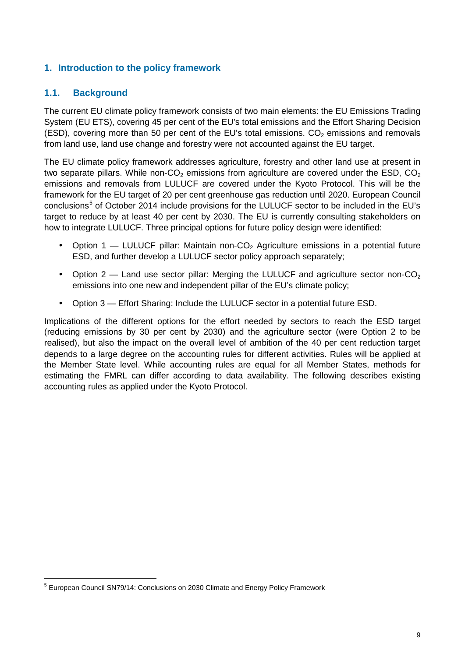# <span id="page-8-0"></span>**1. Introduction to the policy framework**

## <span id="page-8-1"></span>**1.1. Background**

The current EU climate policy framework consists of two main elements: the EU Emissions Trading System (EU ETS), covering 45 per cent of the EU's total emissions and the Effort Sharing Decision (ESD), covering more than 50 per cent of the EU's total emissions.  $CO<sub>2</sub>$  emissions and removals from land use, land use change and forestry were not accounted against the EU target.

The EU climate policy framework addresses agriculture, forestry and other land use at present in two separate pillars. While non-CO<sub>2</sub> emissions from agriculture are covered under the ESD, CO<sub>2</sub> emissions and removals from LULUCF are covered under the Kyoto Protocol. This will be the framework for the EU target of 20 per cent greenhouse gas reduction until 2020. European Council conclusions<sup>[5](#page-8-2)</sup> of October 2014 include provisions for the LULUCF sector to be included in the EU's target to reduce by at least 40 per cent by 2030. The EU is currently consulting stakeholders on how to integrate LULUCF. Three principal options for future policy design were identified:

- Option 1 LULUCF pillar: Maintain non- $CO<sub>2</sub>$  Agriculture emissions in a potential future ESD, and further develop a LULUCF sector policy approach separately;
- Option  $2$  Land use sector pillar: Merging the LULUCF and agriculture sector non-CO<sub>2</sub> emissions into one new and independent pillar of the EU's climate policy;
- Option 3 Effort Sharing: Include the LULUCF sector in a potential future ESD. l.

Implications of the different options for the effort needed by sectors to reach the ESD target (reducing emissions by 30 per cent by 2030) and the agriculture sector (were Option 2 to be realised), but also the impact on the overall level of ambition of the 40 per cent reduction target depends to a large degree on the accounting rules for different activities. Rules will be applied at the Member State level. While accounting rules are equal for all Member States, methods for estimating the FMRL can differ according to data availability. The following describes existing accounting rules as applied under the Kyoto Protocol.

<span id="page-8-2"></span> <sup>5</sup> European Council SN79/14: Conclusions on 2030 Climate and Energy Policy Framework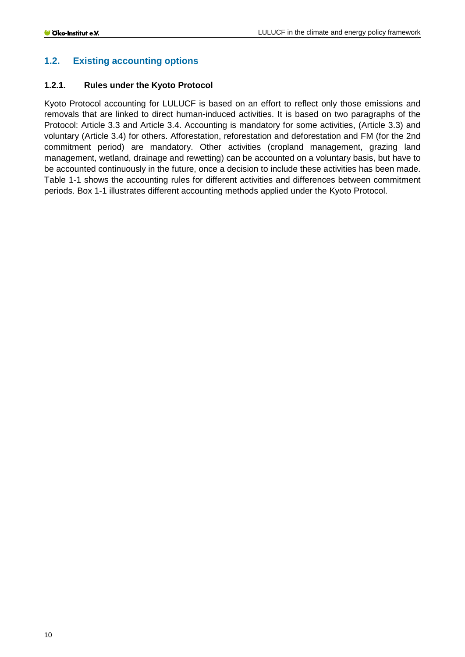# <span id="page-9-0"></span>**1.2. Existing accounting options**

#### <span id="page-9-1"></span>**1.2.1. Rules under the Kyoto Protocol**

Kyoto Protocol accounting for LULUCF is based on an effort to reflect only those emissions and removals that are linked to direct human-induced activities. It is based on two paragraphs of the Protocol: Article 3.3 and Article 3.4. Accounting is mandatory for some activities, (Article 3.3) and voluntary (Article 3.4) for others. Afforestation, reforestation and deforestation and FM (for the 2nd commitment period) are mandatory. Other activities (cropland management, grazing land management, wetland, drainage and rewetting) can be accounted on a voluntary basis, but have to be accounted continuously in the future, once a decision to include these activities has been made. Table 1-1 shows the accounting rules for different activities and differences between commitment periods. Box 1-1 illustrates different accounting methods applied under the Kyoto Protocol.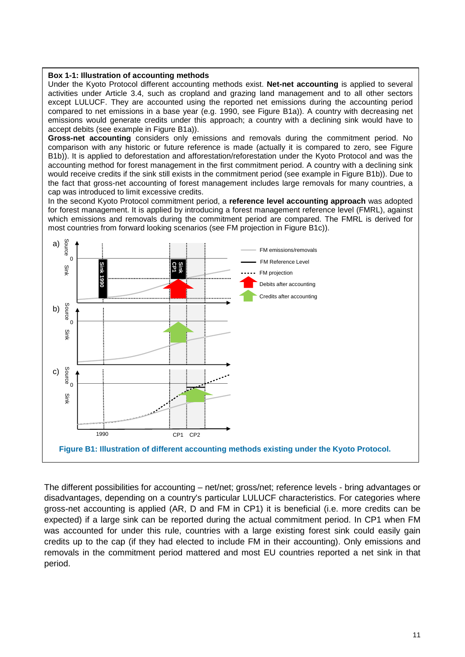#### **Box 1-1: Illustration of accounting methods**

Under the Kyoto Protocol different accounting methods exist. **Net-net accounting** is applied to several activities under Article 3.4, such as cropland and grazing land management and to all other sectors except LULUCF. They are accounted using the reported net emissions during the accounting period compared to net emissions in a base year (e.g. 1990, see Figure B1a)). A country with decreasing net emissions would generate credits under this approach; a country with a declining sink would have to accept debits (see example in Figure B1a)).

**Gross-net accounting** considers only emissions and removals during the commitment period. No comparison with any historic or future reference is made (actually it is compared to zero, see Figure B1b)). It is applied to deforestation and afforestation/reforestation under the Kyoto Protocol and was the accounting method for forest management in the first commitment period. A country with a declining sink would receive credits if the sink still exists in the commitment period (see example in Figure B1b)). Due to the fact that gross-net accounting of forest management includes large removals for many countries, a cap was introduced to limit excessive credits.

In the second Kyoto Protocol commitment period, a **reference level accounting approach** was adopted for forest management. It is applied by introducing a forest management reference level (FMRL), against which emissions and removals during the commitment period are compared. The FMRL is derived for most countries from forward looking scenarios (see FM projection in Figure B1c)).



The different possibilities for accounting – net/net; gross/net; reference levels - bring advantages or disadvantages, depending on a country's particular LULUCF characteristics. For categories where gross-net accounting is applied (AR, D and FM in CP1) it is beneficial (i.e. more credits can be expected) if a large sink can be reported during the actual commitment period. In CP1 when FM was accounted for under this rule, countries with a large existing forest sink could easily gain credits up to the cap (if they had elected to include FM in their accounting). Only emissions and removals in the commitment period mattered and most EU countries reported a net sink in that period.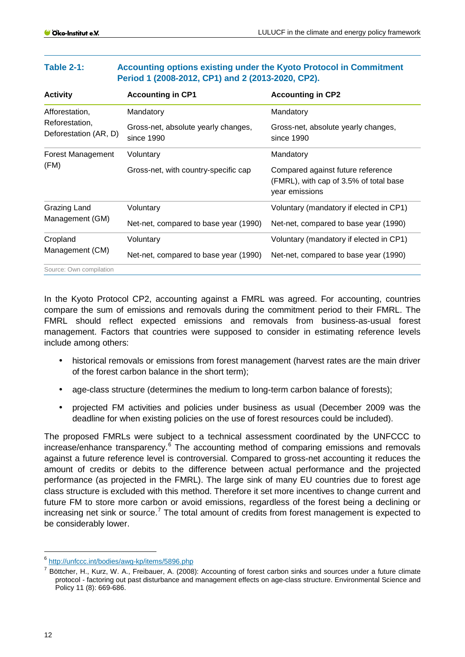| Period 1 (2008-2012, CP1) and 2 (2013-2020, CP2). |                                                   |                                                                                               |  |  |  |
|---------------------------------------------------|---------------------------------------------------|-----------------------------------------------------------------------------------------------|--|--|--|
| <b>Activity</b>                                   | <b>Accounting in CP1</b>                          | <b>Accounting in CP2</b>                                                                      |  |  |  |
| Afforestation,                                    | Mandatory                                         | Mandatory                                                                                     |  |  |  |
| Reforestation,<br>Deforestation (AR, D)           | Gross-net, absolute yearly changes,<br>since 1990 | Gross-net, absolute yearly changes,<br>since 1990                                             |  |  |  |
| Forest Management                                 | Voluntary                                         | Mandatory                                                                                     |  |  |  |
| (FM)                                              | Gross-net, with country-specific cap              | Compared against future reference<br>(FMRL), with cap of 3.5% of total base<br>year emissions |  |  |  |
| Grazing Land                                      | Voluntary                                         | Voluntary (mandatory if elected in CP1)                                                       |  |  |  |
| Management (GM)                                   | Net-net, compared to base year (1990)             | Net-net, compared to base year (1990)                                                         |  |  |  |
| Cropland                                          | Voluntary                                         | Voluntary (mandatory if elected in CP1)                                                       |  |  |  |
| Management (CM)                                   | Net-net, compared to base year (1990)             | Net-net, compared to base year (1990)                                                         |  |  |  |
| Source: Own compilation                           |                                                   |                                                                                               |  |  |  |

**Table 2-1: Accounting options existing under the Kyoto Protocol in Commitment** 

## In the Kyoto Protocol CP2, accounting against a FMRL was agreed. For accounting, countries compare the sum of emissions and removals during the commitment period to their FMRL. The FMRL should reflect expected emissions and removals from business-as-usual forest management. Factors that countries were supposed to consider in estimating reference levels include among others:

- $\mathbf{r}$ historical removals or emissions from forest management (harvest rates are the main driver of the forest carbon balance in the short term);
- age-class structure (determines the medium to long-term carbon balance of forests);
- projected FM activities and policies under business as usual (December 2009 was the deadline for when existing policies on the use of forest resources could be included).

The proposed FMRLs were subject to a technical assessment coordinated by the UNFCCC to increase/enhance transparency. [6](#page-11-0) The accounting method of comparing emissions and removals against a future reference level is controversial. Compared to gross-net accounting it reduces the amount of credits or debits to the difference between actual performance and the projected performance (as projected in the FMRL). The large sink of many EU countries due to forest age class structure is excluded with this method. Therefore it set more incentives to change current and future FM to store more carbon or avoid emissions, regardless of the forest being a declining or increasing net sink or source.<sup>[7](#page-11-1)</sup> The total amount of credits from forest management is expected to be considerably lower.

<span id="page-11-0"></span> <sup>6</sup> <http://unfccc.int/bodies/awg-kp/items/5896.php>

<span id="page-11-1"></span> $<sup>7</sup>$  Böttcher, H., Kurz, W. A., Freibauer, A. (2008): Accounting of forest carbon sinks and sources under a future climate</sup> protocol - factoring out past disturbance and management effects on age-class structure. Environmental Science and Policy 11 (8): 669-686.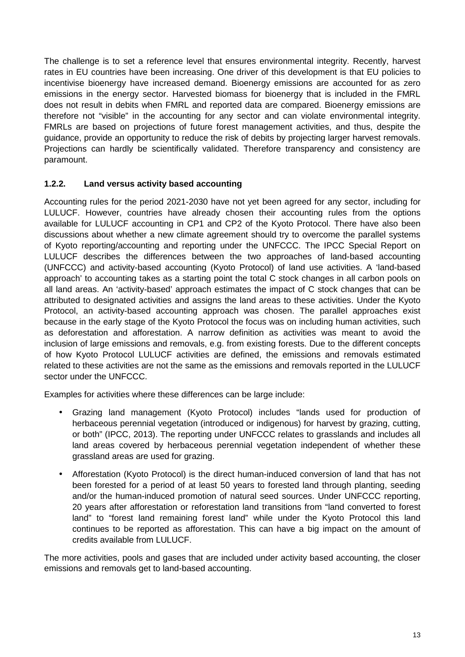The challenge is to set a reference level that ensures environmental integrity. Recently, harvest rates in EU countries have been increasing. One driver of this development is that EU policies to incentivise bioenergy have increased demand. Bioenergy emissions are accounted for as zero emissions in the energy sector. Harvested biomass for bioenergy that is included in the FMRL does not result in debits when FMRL and reported data are compared. Bioenergy emissions are therefore not "visible" in the accounting for any sector and can violate environmental integrity. FMRLs are based on projections of future forest management activities, and thus, despite the guidance, provide an opportunity to reduce the risk of debits by projecting larger harvest removals. Projections can hardly be scientifically validated. Therefore transparency and consistency are paramount.

## <span id="page-12-0"></span>**1.2.2. Land versus activity based accounting**

Accounting rules for the period 2021-2030 have not yet been agreed for any sector, including for LULUCF. However, countries have already chosen their accounting rules from the options available for LULUCF accounting in CP1 and CP2 of the Kyoto Protocol. There have also been discussions about whether a new climate agreement should try to overcome the parallel systems of Kyoto reporting/accounting and reporting under the UNFCCC. The IPCC Special Report on LULUCF describes the differences between the two approaches of land-based accounting (UNFCCC) and activity-based accounting (Kyoto Protocol) of land use activities. A 'land-based approach' to accounting takes as a starting point the total C stock changes in all carbon pools on all land areas. An 'activity-based' approach estimates the impact of C stock changes that can be attributed to designated activities and assigns the land areas to these activities. Under the Kyoto Protocol, an activity-based accounting approach was chosen. The parallel approaches exist because in the early stage of the Kyoto Protocol the focus was on including human activities, such as deforestation and afforestation. A narrow definition as activities was meant to avoid the inclusion of large emissions and removals, e.g. from existing forests. Due to the different concepts of how Kyoto Protocol LULUCF activities are defined, the emissions and removals estimated related to these activities are not the same as the emissions and removals reported in the LULUCF sector under the UNFCCC.

Examples for activities where these differences can be large include:

- Grazing land management (Kyoto Protocol) includes "lands used for production of herbaceous perennial vegetation (introduced or indigenous) for harvest by grazing, cutting, or both" (IPCC, 2013). The reporting under UNFCCC relates to grasslands and includes all land areas covered by herbaceous perennial vegetation independent of whether these grassland areas are used for grazing.
- Afforestation (Kyoto Protocol) is the direct human-induced conversion of land that has not  $\mathbf{r}$ been forested for a period of at least 50 years to forested land through planting, seeding and/or the human-induced promotion of natural seed sources. Under UNFCCC reporting, 20 years after afforestation or reforestation land transitions from "land converted to forest land" to "forest land remaining forest land" while under the Kyoto Protocol this land continues to be reported as afforestation. This can have a big impact on the amount of credits available from LULUCF.

The more activities, pools and gases that are included under activity based accounting, the closer emissions and removals get to land-based accounting.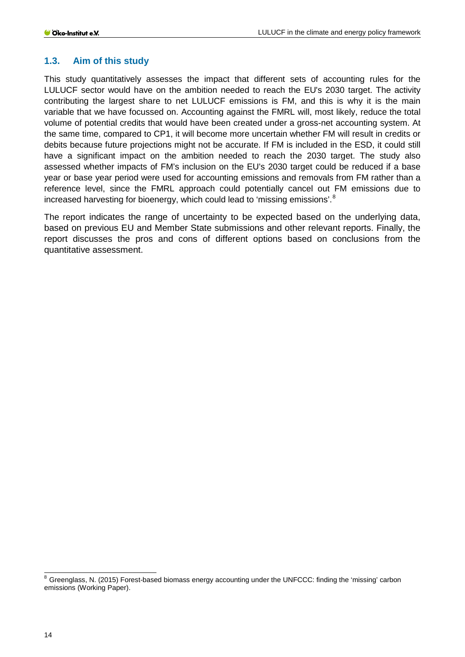## <span id="page-13-0"></span>**1.3. Aim of this study**

This study quantitatively assesses the impact that different sets of accounting rules for the LULUCF sector would have on the ambition needed to reach the EU's 2030 target. The activity contributing the largest share to net LULUCF emissions is FM, and this is why it is the main variable that we have focussed on. Accounting against the FMRL will, most likely, reduce the total volume of potential credits that would have been created under a gross-net accounting system. At the same time, compared to CP1, it will become more uncertain whether FM will result in credits or debits because future projections might not be accurate. If FM is included in the ESD, it could still have a significant impact on the ambition needed to reach the 2030 target. The study also assessed whether impacts of FM's inclusion on the EU's 2030 target could be reduced if a base year or base year period were used for accounting emissions and removals from FM rather than a reference level, since the FMRL approach could potentially cancel out FM emissions due to increased harvesting for bioenergy, which could lead to 'missing emissions'.<sup>[8](#page-13-1)</sup>

The report indicates the range of uncertainty to be expected based on the underlying data, based on previous EU and Member State submissions and other relevant reports. Finally, the report discusses the pros and cons of different options based on conclusions from the quantitative assessment.

<span id="page-13-1"></span><sup>&</sup>lt;sup>8</sup> Greenglass, N. (2015) Forest-based biomass energy accounting under the UNFCCC: finding the 'missing' carbon emissions (Working Paper).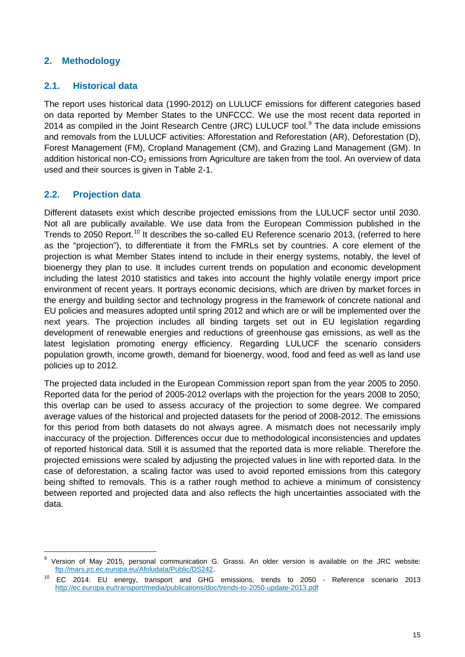## <span id="page-14-0"></span>**2. Methodology**

## <span id="page-14-1"></span>**2.1. Historical data**

The report uses historical data (1990-2012) on LULUCF emissions for different categories based on data reported by Member States to the UNFCCC. We use the most recent data reported in 2014 as compiled in the Joint Research Centre (JRC) LULUCF tool.<sup>[9](#page-14-3)</sup> The data include emissions and removals from the LULUCF activities: Afforestation and Reforestation (AR), Deforestation (D), Forest Management (FM), Cropland Management (CM), and Grazing Land Management (GM). In addition historical non- $CO<sub>2</sub>$  emissions from Agriculture are taken from the tool. An overview of data used and their sources is given in [Table 2-1.](#page-15-1)

## <span id="page-14-2"></span>**2.2. Projection data**

Different datasets exist which describe projected emissions from the LULUCF sector until 2030. Not all are publically available. We use data from the European Commission published in the Trends to 2050 Report.<sup>[10](#page-14-4)</sup> It describes the so-called EU Reference scenario 2013, (referred to here as the "projection"), to differentiate it from the FMRLs set by countries. A core element of the projection is what Member States intend to include in their energy systems, notably, the level of bioenergy they plan to use. It includes current trends on population and economic development including the latest 2010 statistics and takes into account the highly volatile energy import price environment of recent years. It portrays economic decisions, which are driven by market forces in the energy and building sector and technology progress in the framework of concrete national and EU policies and measures adopted until spring 2012 and which are or will be implemented over the next years. The projection includes all binding targets set out in EU legislation regarding development of renewable energies and reductions of greenhouse gas emissions, as well as the latest legislation promoting energy efficiency. Regarding LULUCF the scenario considers population growth, income growth, demand for bioenergy, wood, food and feed as well as land use policies up to 2012.

The projected data included in the European Commission report span from the year 2005 to 2050. Reported data for the period of 2005-2012 overlaps with the projection for the years 2008 to 2050; this overlap can be used to assess accuracy of the projection to some degree. We compared average values of the historical and projected datasets for the period of 2008-2012. The emissions for this period from both datasets do not always agree. A mismatch does not necessarily imply inaccuracy of the projection. Differences occur due to methodological inconsistencies and updates of reported historical data. Still it is assumed that the reported data is more reliable. Therefore the projected emissions were scaled by adjusting the projected values in line with reported data. In the case of deforestation, a scaling factor was used to avoid reported emissions from this category being shifted to removals. This is a rather rough method to achieve a minimum of consistency between reported and projected data and also reflects the high uncertainties associated with the data.

<span id="page-14-3"></span>Version of May 2015, personal communication G. Grassi. An older version is available on the JRC website: [ftp://mars.jrc.ec.europa.eu/Afoludata/Public/DS242.](ftp://mars.jrc.ec.europa.eu/Afoludata/Public/DS242)

<span id="page-14-4"></span><sup>10</sup> EC 2014: EU energy, transport and GHG emissions, trends to 2050 - Reference scenario 2013 <http://ec.europa.eu/transport/media/publications/doc/trends-to-2050-update-2013.pdf>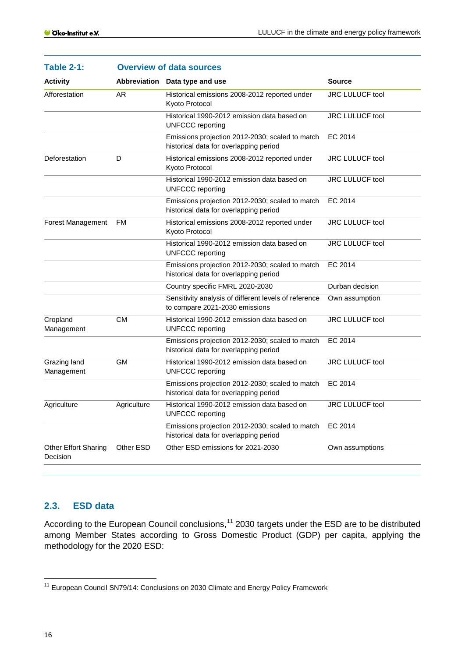<span id="page-15-1"></span>

| <b>Table 2-1:</b>                | <b>Overview of data sources</b> |                                                                                           |                        |  |  |
|----------------------------------|---------------------------------|-------------------------------------------------------------------------------------------|------------------------|--|--|
| <b>Activity</b>                  |                                 | Abbreviation Data type and use                                                            | <b>Source</b>          |  |  |
| Afforestation                    | AR.                             | Historical emissions 2008-2012 reported under<br>Kyoto Protocol                           | JRC LULUCF tool        |  |  |
|                                  |                                 | Historical 1990-2012 emission data based on<br><b>UNFCCC</b> reporting                    | <b>JRC LULUCF tool</b> |  |  |
|                                  |                                 | Emissions projection 2012-2030; scaled to match<br>historical data for overlapping period | EC 2014                |  |  |
| Deforestation                    | D                               | Historical emissions 2008-2012 reported under<br>Kyoto Protocol                           | <b>JRC LULUCF tool</b> |  |  |
|                                  |                                 | Historical 1990-2012 emission data based on<br><b>UNFCCC</b> reporting                    | JRC LULUCF tool        |  |  |
|                                  |                                 | Emissions projection 2012-2030; scaled to match<br>historical data for overlapping period | EC 2014                |  |  |
| Forest Management                | FM                              | Historical emissions 2008-2012 reported under<br>Kyoto Protocol                           | <b>JRC LULUCF tool</b> |  |  |
|                                  |                                 | Historical 1990-2012 emission data based on<br><b>UNFCCC</b> reporting                    | JRC LULUCF tool        |  |  |
|                                  |                                 | Emissions projection 2012-2030; scaled to match<br>historical data for overlapping period | EC 2014                |  |  |
|                                  |                                 | Country specific FMRL 2020-2030                                                           | Durban decision        |  |  |
|                                  |                                 | Sensitivity analysis of different levels of reference<br>to compare 2021-2030 emissions   | Own assumption         |  |  |
| Cropland<br>Management           | <b>CM</b>                       | Historical 1990-2012 emission data based on<br><b>UNFCCC</b> reporting                    | <b>JRC LULUCF tool</b> |  |  |
|                                  |                                 | Emissions projection 2012-2030; scaled to match<br>historical data for overlapping period | EC 2014                |  |  |
| Grazing land<br>Management       | <b>GM</b>                       | Historical 1990-2012 emission data based on<br><b>UNFCCC</b> reporting                    | <b>JRC LULUCF tool</b> |  |  |
|                                  |                                 | Emissions projection 2012-2030; scaled to match<br>historical data for overlapping period | EC 2014                |  |  |
| Agriculture                      | Agriculture                     | Historical 1990-2012 emission data based on<br><b>UNFCCC</b> reporting                    | JRC LULUCF tool        |  |  |
|                                  |                                 | Emissions projection 2012-2030; scaled to match<br>historical data for overlapping period | EC 2014                |  |  |
| Other Effort Sharing<br>Decision | Other ESD                       | Other ESD emissions for 2021-2030                                                         | Own assumptions        |  |  |

## <span id="page-15-0"></span>**2.3. ESD data**

According to the European Council conclusions,<sup>[11](#page-15-2)</sup> 2030 targets under the ESD are to be distributed among Member States according to Gross Domestic Product (GDP) per capita, applying the methodology for the 2020 ESD:

<span id="page-15-2"></span><sup>&</sup>lt;sup>11</sup> European Council SN79/14: Conclusions on 2030 Climate and Energy Policy Framework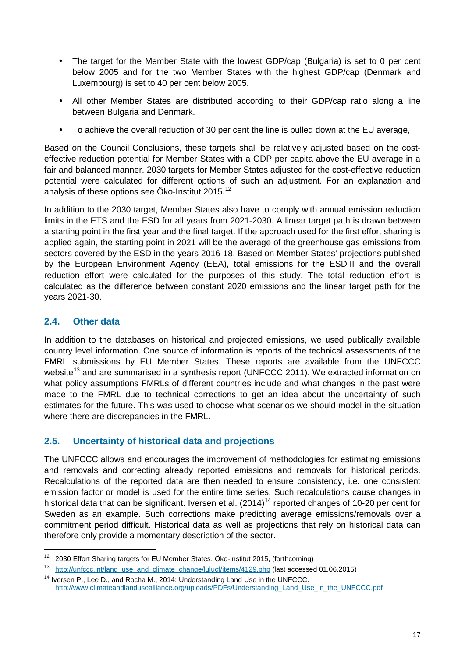- The target for the Member State with the lowest GDP/cap (Bulgaria) is set to 0 per cent below 2005 and for the two Member States with the highest GDP/cap (Denmark and Luxembourg) is set to 40 per cent below 2005.
- All other Member States are distributed according to their GDP/cap ratio along a line  $\sim 10^{-11}$ between Bulgaria and Denmark.
- To achieve the overall reduction of 30 per cent the line is pulled down at the EU average,

Based on the Council Conclusions, these targets shall be relatively adjusted based on the costeffective reduction potential for Member States with a GDP per capita above the EU average in a fair and balanced manner. 2030 targets for Member States adjusted for the cost-effective reduction potential were calculated for different options of such an adjustment. For an explanation and analysis of these options see Öko-Institut 2015. $^{\rm 12}$  $^{\rm 12}$  $^{\rm 12}$ 

In addition to the 2030 target, Member States also have to comply with annual emission reduction limits in the ETS and the ESD for all years from 2021-2030. A linear target path is drawn between a starting point in the first year and the final target. If the approach used for the first effort sharing is applied again, the starting point in 2021 will be the average of the greenhouse gas emissions from sectors covered by the ESD in the years 2016-18. Based on Member States' projections published by the European Environment Agency (EEA), total emissions for the ESD II and the overall reduction effort were calculated for the purposes of this study. The total reduction effort is calculated as the difference between constant 2020 emissions and the linear target path for the years 2021-30.

# <span id="page-16-0"></span>**2.4. Other data**

In addition to the databases on historical and projected emissions, we used publically available country level information. One source of information is reports of the technical assessments of the FMRL submissions by EU Member States. These reports are available from the UNFCCC website<sup>[13](#page-16-3)</sup> and are summarised in a synthesis report (UNFCCC 2011). We extracted information on what policy assumptions FMRLs of different countries include and what changes in the past were made to the FMRL due to technical corrections to get an idea about the uncertainty of such estimates for the future. This was used to choose what scenarios we should model in the situation where there are discrepancies in the FMRL.

# <span id="page-16-1"></span>**2.5. Uncertainty of historical data and projections**

The UNFCCC allows and encourages the improvement of methodologies for estimating emissions and removals and correcting already reported emissions and removals for historical periods. Recalculations of the reported data are then needed to ensure consistency, i.e. one consistent emission factor or model is used for the entire time series. Such recalculations cause changes in historical data that can be significant. Iversen et al. (20[14](#page-16-4))<sup>14</sup> reported changes of 10-20 per cent for Sweden as an example. Such corrections make predicting average emissions/removals over a commitment period difficult. Historical data as well as projections that rely on historical data can therefore only provide a momentary description of the sector.

<span id="page-16-2"></span><sup>&</sup>lt;sup>12</sup> 2030 Effort Sharing targets for EU Member States. Öko-Institut 2015, (forthcoming)

<span id="page-16-3"></span><sup>13</sup> [http://unfccc.int/land\\_use\\_and\\_climate\\_change/lulucf/items/4129.php](http://unfccc.int/land_use_and_climate_change/lulucf/items/4129.php) (last accessed 01.06.2015)

<span id="page-16-4"></span><sup>&</sup>lt;sup>14</sup> Iversen P., Lee D., and Rocha M., 2014: Understanding Land Use in the UNFCCC. [http://www.climateandlandusealliance.org/uploads/PDFs/Understanding\\_Land\\_Use\\_in\\_the\\_UNFCCC.pdf](http://www.climateandlandusealliance.org/uploads/PDFs/Understanding_Land_Use_in_the_UNFCCC.pdf)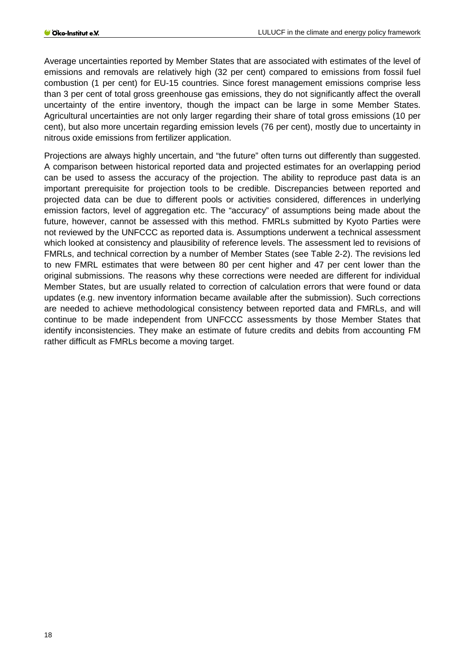Average uncertainties reported by Member States that are associated with estimates of the level of emissions and removals are relatively high (32 per cent) compared to emissions from fossil fuel combustion (1 per cent) for EU-15 countries. Since forest management emissions comprise less than 3 per cent of total gross greenhouse gas emissions, they do not significantly affect the overall uncertainty of the entire inventory, though the impact can be large in some Member States. Agricultural uncertainties are not only larger regarding their share of total gross emissions (10 per cent), but also more uncertain regarding emission levels (76 per cent), mostly due to uncertainty in nitrous oxide emissions from fertilizer application.

Projections are always highly uncertain, and "the future" often turns out differently than suggested. A comparison between historical reported data and projected estimates for an overlapping period can be used to assess the accuracy of the projection. The ability to reproduce past data is an important prerequisite for projection tools to be credible. Discrepancies between reported and projected data can be due to different pools or activities considered, differences in underlying emission factors, level of aggregation etc. The "accuracy" of assumptions being made about the future, however, cannot be assessed with this method. FMRLs submitted by Kyoto Parties were not reviewed by the UNFCCC as reported data is. Assumptions underwent a technical assessment which looked at consistency and plausibility of reference levels. The assessment led to revisions of FMRLs, and technical correction by a number of Member States (see [Table 2-2\)](#page-18-0). The revisions led to new FMRL estimates that were between 80 per cent higher and 47 per cent lower than the original submissions. The reasons why these corrections were needed are different for individual Member States, but are usually related to correction of calculation errors that were found or data updates (e.g. new inventory information became available after the submission). Such corrections are needed to achieve methodological consistency between reported data and FMRLs, and will continue to be made independent from UNFCCC assessments by those Member States that identify inconsistencies. They make an estimate of future credits and debits from accounting FM rather difficult as FMRLs become a moving target.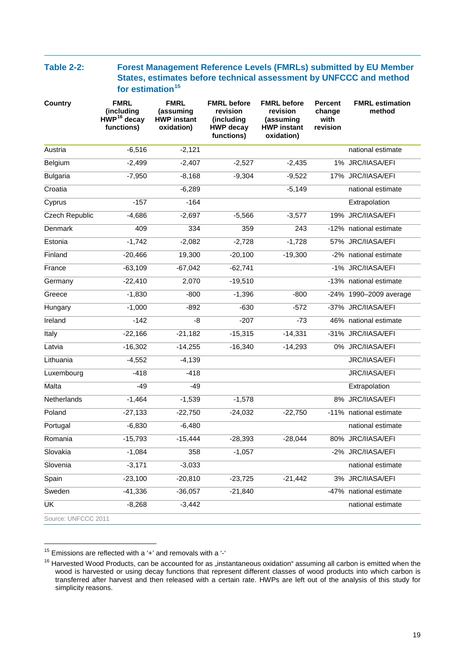#### <span id="page-18-0"></span>**Table 2-2: Forest Management Reference Levels (FMRLs) submitted by EU Member States, estimates before technical assessment by UNFCCC and method for estimation[15](#page-18-1)**

| <b>Country</b>        | <b>FMRL</b><br>(including<br>$HWP16$ decay<br>functions) | <b>FMRL</b><br>(assuming<br><b>HWP instant</b><br>oxidation) | <b>FMRL</b> before<br>revision<br>(including<br><b>HWP decay</b><br>functions) | <b>FMRL</b> before<br>revision<br>(assuming<br><b>HWP instant</b><br>oxidation) | <b>Percent</b><br>change<br>with<br>revision | <b>FMRL estimation</b><br>method |
|-----------------------|----------------------------------------------------------|--------------------------------------------------------------|--------------------------------------------------------------------------------|---------------------------------------------------------------------------------|----------------------------------------------|----------------------------------|
| Austria               | $-6,516$                                                 | $-2,121$                                                     |                                                                                |                                                                                 |                                              | national estimate                |
| Belgium               | $-2,499$                                                 | $-2,407$                                                     | $-2,527$                                                                       | $-2,435$                                                                        |                                              | 1% JRC/IIASA/EFI                 |
| <b>Bulgaria</b>       | $-7,950$                                                 | $-8,168$                                                     | $-9,304$                                                                       | $-9,522$                                                                        |                                              | 17% JRC/IIASA/EFI                |
| Croatia               |                                                          | $-6,289$                                                     |                                                                                | $-5,149$                                                                        |                                              | national estimate                |
| Cyprus                | $-157$                                                   | $-164$                                                       |                                                                                |                                                                                 |                                              | Extrapolation                    |
| <b>Czech Republic</b> | $-4,686$                                                 | $-2,697$                                                     | $-5,566$                                                                       | $-3,577$                                                                        | 19%                                          | JRC/IIASA/EFI                    |
| <b>Denmark</b>        | 409                                                      | 334                                                          | 359                                                                            | 243                                                                             |                                              | -12% national estimate           |
| Estonia               | $-1,742$                                                 | $-2,082$                                                     | $-2,728$                                                                       | $-1,728$                                                                        |                                              | 57% JRC/IIASA/EFI                |
| Finland               | $-20,466$                                                | 19,300                                                       | $-20,100$                                                                      | $-19,300$                                                                       |                                              | -2% national estimate            |
| France                | $-63,109$                                                | $-67,042$                                                    | $-62,741$                                                                      |                                                                                 |                                              | -1% JRC/IIASA/EFI                |
| Germany               | $-22,410$                                                | 2,070                                                        | $-19,510$                                                                      |                                                                                 |                                              | -13% national estimate           |
| Greece                | $-1,830$                                                 | $-800$                                                       | $-1,396$                                                                       | $-800$                                                                          |                                              | -24% 1990-2009 average           |
| Hungary               | $-1,000$                                                 | $-892$                                                       | $-630$                                                                         | $-572$                                                                          |                                              | -37% JRC/IIASA/EFI               |
| Ireland               | $-142$                                                   | -8                                                           | $-207$                                                                         | $-73$                                                                           |                                              | 46% national estimate            |
| Italy                 | $-22,166$                                                | $-21,182$                                                    | $-15,315$                                                                      | $-14,331$                                                                       |                                              | -31% JRC/IIASA/EFI               |
| Latvia                | $-16,302$                                                | $-14,255$                                                    | $-16,340$                                                                      | $-14,293$                                                                       |                                              | 0% JRC/IIASA/EFI                 |
| Lithuania             | $-4,552$                                                 | $-4,139$                                                     |                                                                                |                                                                                 |                                              | JRC/IIASA/EFI                    |
| Luxembourg            | $-418$                                                   | $-418$                                                       |                                                                                |                                                                                 |                                              | JRC/IIASA/EFI                    |
| Malta                 | $-49$                                                    | $-49$                                                        |                                                                                |                                                                                 |                                              | Extrapolation                    |
| Netherlands           | $-1,464$                                                 | $-1,539$                                                     | $-1,578$                                                                       |                                                                                 |                                              | 8% JRC/IIASA/EFI                 |
| Poland                | $-27,133$                                                | $-22,750$                                                    | $-24,032$                                                                      | $-22,750$                                                                       |                                              | -11% national estimate           |
| Portugal              | $-6,830$                                                 | $-6,480$                                                     |                                                                                |                                                                                 |                                              | national estimate                |
| Romania               | $-15,793$                                                | $-15,444$                                                    | $-28,393$                                                                      | $-28,044$                                                                       |                                              | 80% JRC/IIASA/EFI                |
| Slovakia              | $-1,084$                                                 | 358                                                          | $-1,057$                                                                       |                                                                                 |                                              | -2% JRC/IIASA/EFI                |
| Slovenia              | $-3,171$                                                 | $-3,033$                                                     |                                                                                |                                                                                 |                                              | national estimate                |
| Spain                 | $-23,100$                                                | $-20,810$                                                    | $-23,725$                                                                      | $-21,442$                                                                       | 3%                                           | JRC/IIASA/EFI                    |
| Sweden                | $-41,336$                                                | $-36,057$                                                    | $-21,840$                                                                      |                                                                                 |                                              | -47% national estimate           |
| UK                    | $-8,268$                                                 | $-3,442$                                                     |                                                                                |                                                                                 |                                              | national estimate                |
| Source: UNFCCC 2011   |                                                          |                                                              |                                                                                |                                                                                 |                                              |                                  |

<span id="page-18-1"></span> $15$  Emissions are reflected with a '+' and removals with a '-'

<span id="page-18-2"></span> $16$  Harvested Wood Products, can be accounted for as "instantaneous oxidation" assuming all carbon is emitted when the wood is harvested or using decay functions that represent different classes of wood products into which carbon is transferred after harvest and then released with a certain rate. HWPs are left out of the analysis of this study for simplicity reasons.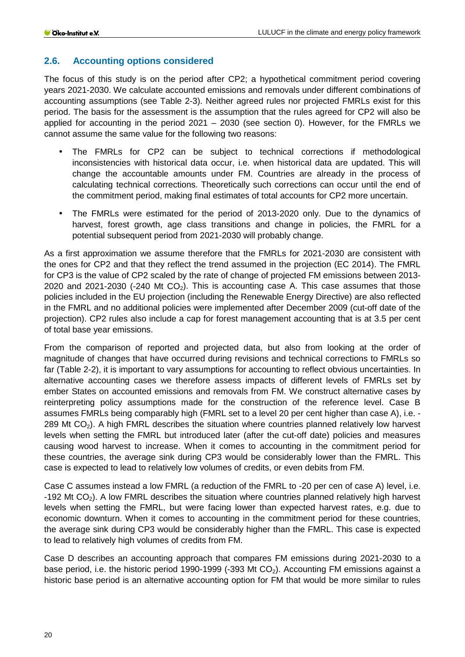#### <span id="page-19-0"></span>**2.6. Accounting options considered**

The focus of this study is on the period after CP2; a hypothetical commitment period covering years 2021-2030. We calculate accounted emissions and removals under different combinations of accounting assumptions (see [Table 2-3\)](#page-20-0). Neither agreed rules nor projected FMRLs exist for this period. The basis for the assessment is the assumption that the rules agreed for CP2 will also be applied for accounting in the period 2021 – 2030 (see section [0\)](#page-0-0). However, for the FMRLs we cannot assume the same value for the following two reasons:

- The FMRLs for CP2 can be subject to technical corrections if methodological inconsistencies with historical data occur, i.e. when historical data are updated. This will change the accountable amounts under FM. Countries are already in the process of calculating technical corrections. Theoretically such corrections can occur until the end of the commitment period, making final estimates of total accounts for CP2 more uncertain.
- The FMRLs were estimated for the period of 2013-2020 only. Due to the dynamics of harvest, forest growth, age class transitions and change in policies, the FMRL for a potential subsequent period from 2021-2030 will probably change.

As a first approximation we assume therefore that the FMRLs for 2021-2030 are consistent with the ones for CP2 and that they reflect the trend assumed in the projection (EC 2014). The FMRL for CP3 is the value of CP2 scaled by the rate of change of projected FM emissions between 2013- 2020 and 2021-2030 (-240 Mt  $CO<sub>2</sub>$ ). This is accounting case A. This case assumes that those policies included in the EU projection (including the Renewable Energy Directive) are also reflected in the FMRL and no additional policies were implemented after December 2009 (cut-off date of the projection). CP2 rules also include a cap for forest management accounting that is at 3.5 per cent of total base year emissions.

From the comparison of reported and projected data, but also from looking at the order of magnitude of changes that have occurred during revisions and technical corrections to FMRLs so far [\(Table 2-2\)](#page-18-0), it is important to vary assumptions for accounting to reflect obvious uncertainties. In alternative accounting cases we therefore assess impacts of different levels of FMRLs set by ember States on accounted emissions and removals from FM. We construct alternative cases by reinterpreting policy assumptions made for the construction of the reference level. Case B assumes FMRLs being comparably high (FMRL set to a level 20 per cent higher than case A), i.e. - 289 Mt  $CO<sub>2</sub>$ ). A high FMRL describes the situation where countries planned relatively low harvest levels when setting the FMRL but introduced later (after the cut-off date) policies and measures causing wood harvest to increase. When it comes to accounting in the commitment period for these countries, the average sink during CP3 would be considerably lower than the FMRL. This case is expected to lead to relatively low volumes of credits, or even debits from FM.

Case C assumes instead a low FMRL (a reduction of the FMRL to -20 per cen of case A) level, i.e. -192 Mt  $CO<sub>2</sub>$ ). A low FMRL describes the situation where countries planned relatively high harvest levels when setting the FMRL, but were facing lower than expected harvest rates, e.g. due to economic downturn. When it comes to accounting in the commitment period for these countries, the average sink during CP3 would be considerably higher than the FMRL. This case is expected to lead to relatively high volumes of credits from FM.

Case D describes an accounting approach that compares FM emissions during 2021-2030 to a base period, i.e. the historic period 1990-1999 (-393 Mt  $CO<sub>2</sub>$ ). Accounting FM emissions against a historic base period is an alternative accounting option for FM that would be more similar to rules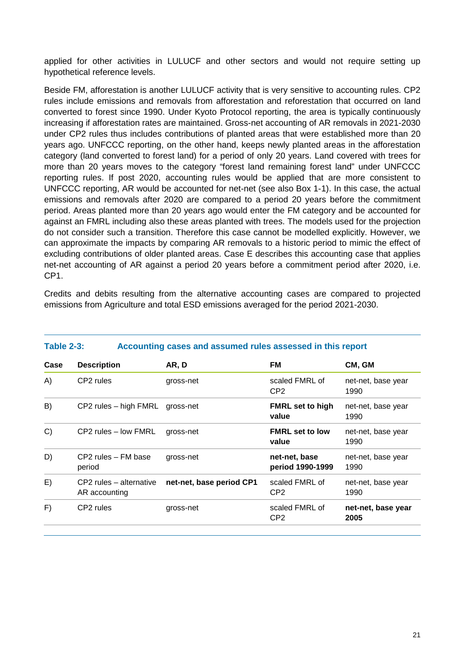applied for other activities in LULUCF and other sectors and would not require setting up hypothetical reference levels.

Beside FM, afforestation is another LULUCF activity that is very sensitive to accounting rules. CP2 rules include emissions and removals from afforestation and reforestation that occurred on land converted to forest since 1990. Under Kyoto Protocol reporting, the area is typically continuously increasing if afforestation rates are maintained. Gross-net accounting of AR removals in 2021-2030 under CP2 rules thus includes contributions of planted areas that were established more than 20 years ago. UNFCCC reporting, on the other hand, keeps newly planted areas in the afforestation category (land converted to forest land) for a period of only 20 years. Land covered with trees for more than 20 years moves to the category "forest land remaining forest land" under UNFCCC reporting rules. If post 2020, accounting rules would be applied that are more consistent to UNFCCC reporting, AR would be accounted for net-net (see also Box 1-1). In this case, the actual emissions and removals after 2020 are compared to a period 20 years before the commitment period. Areas planted more than 20 years ago would enter the FM category and be accounted for against an FMRL including also these areas planted with trees. The models used for the projection do not consider such a transition. Therefore this case cannot be modelled explicitly. However, we can approximate the impacts by comparing AR removals to a historic period to mimic the effect of excluding contributions of older planted areas. Case E describes this accounting case that applies net-net accounting of AR against a period 20 years before a commitment period after 2020, i.e. CP1.

Credits and debits resulting from the alternative accounting cases are compared to projected emissions from Agriculture and total ESD emissions averaged for the period 2021-2030.

<span id="page-20-0"></span>

| <b>Table 2-3:</b> |                                          | Accounting cases and assumed rules assessed in this report |                                   |                            |
|-------------------|------------------------------------------|------------------------------------------------------------|-----------------------------------|----------------------------|
| Case              | <b>Description</b>                       | AR, D                                                      | FM.                               | CM, GM                     |
| A)                | CP2 rules                                | gross-net                                                  | scaled FMRL of<br>CP <sub>2</sub> | net-net, base year<br>1990 |
| B)                | CP2 rules - high FMRL                    | gross-net                                                  | <b>FMRL set to high</b><br>value  | net-net, base year<br>1990 |
| C)                | CP2 rules – low FMRL                     | gross-net                                                  | <b>FMRL set to low</b><br>value   | net-net, base year<br>1990 |
| D)                | CP2 rules - FM base<br>period            | gross-net                                                  | net-net, base<br>period 1990-1999 | net-net, base year<br>1990 |
| E)                | CP2 rules - alternative<br>AR accounting | net-net, base period CP1                                   | scaled FMRL of<br>CP <sub>2</sub> | net-net, base year<br>1990 |
| F)                | CP2 rules                                | gross-net                                                  | scaled FMRL of<br>CP <sub>2</sub> | net-net, base year<br>2005 |
|                   |                                          |                                                            |                                   |                            |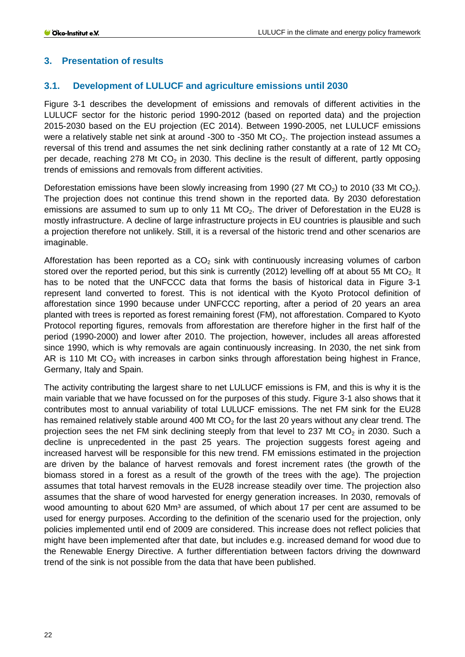## <span id="page-21-0"></span>**3. Presentation of results**

## <span id="page-21-1"></span>**3.1. Development of LULUCF and agriculture emissions until 2030**

[Figure 3-1](#page-22-0) describes the development of emissions and removals of different activities in the LULUCF sector for the historic period 1990-2012 (based on reported data) and the projection 2015-2030 based on the EU projection (EC 2014). Between 1990-2005, net LULUCF emissions were a relatively stable net sink at around -300 to -350 Mt  $CO<sub>2</sub>$ . The projection instead assumes a reversal of this trend and assumes the net sink declining rather constantly at a rate of 12 Mt  $CO<sub>2</sub>$ per decade, reaching 278 Mt  $CO<sub>2</sub>$  in 2030. This decline is the result of different, partly opposing trends of emissions and removals from different activities.

Deforestation emissions have been slowly increasing from 1990 (27 Mt CO<sub>2</sub>) to 2010 (33 Mt CO<sub>2</sub>). The projection does not continue this trend shown in the reported data. By 2030 deforestation emissions are assumed to sum up to only 11 Mt  $CO<sub>2</sub>$ . The driver of Deforestation in the EU28 is mostly infrastructure. A decline of large infrastructure projects in EU countries is plausible and such a projection therefore not unlikely. Still, it is a reversal of the historic trend and other scenarios are imaginable.

Afforestation has been reported as a  $CO<sub>2</sub>$  sink with continuously increasing volumes of carbon stored over the reported period, but this sink is currently (2012) levelling off at about 55 Mt  $CO<sub>2</sub>$  It has to be noted that the UNFCCC data that forms the basis of historical data in [Figure 3-1](#page-22-0) represent land converted to forest. This is not identical with the Kyoto Protocol definition of afforestation since 1990 because under UNFCCC reporting, after a period of 20 years an area planted with trees is reported as forest remaining forest (FM), not afforestation. Compared to Kyoto Protocol reporting figures, removals from afforestation are therefore higher in the first half of the period (1990-2000) and lower after 2010. The projection, however, includes all areas afforested since 1990, which is why removals are again continuously increasing. In 2030, the net sink from AR is 110 Mt  $CO<sub>2</sub>$  with increases in carbon sinks through afforestation being highest in France, Germany, Italy and Spain.

The activity contributing the largest share to net LULUCF emissions is FM, and this is why it is the main variable that we have focussed on for the purposes of this study. [Figure 3-1](#page-22-0) also shows that it contributes most to annual variability of total LULUCF emissions. The net FM sink for the EU28 has remained relatively stable around 400 Mt  $CO<sub>2</sub>$  for the last 20 years without any clear trend. The projection sees the net FM sink declining steeply from that level to 237 Mt  $CO<sub>2</sub>$  in 2030. Such a decline is unprecedented in the past 25 years. The projection suggests forest ageing and increased harvest will be responsible for this new trend. FM emissions estimated in the projection are driven by the balance of harvest removals and forest increment rates (the growth of the biomass stored in a forest as a result of the growth of the trees with the age). The projection assumes that total harvest removals in the EU28 increase steadily over time. The projection also assumes that the share of wood harvested for energy generation increases. In 2030, removals of wood amounting to about 620 Mm<sup>3</sup> are assumed, of which about 17 per cent are assumed to be used for energy purposes. According to the definition of the scenario used for the projection, only policies implemented until end of 2009 are considered. This increase does not reflect policies that might have been implemented after that date, but includes e.g. increased demand for wood due to the Renewable Energy Directive. A further differentiation between factors driving the downward trend of the sink is not possible from the data that have been published.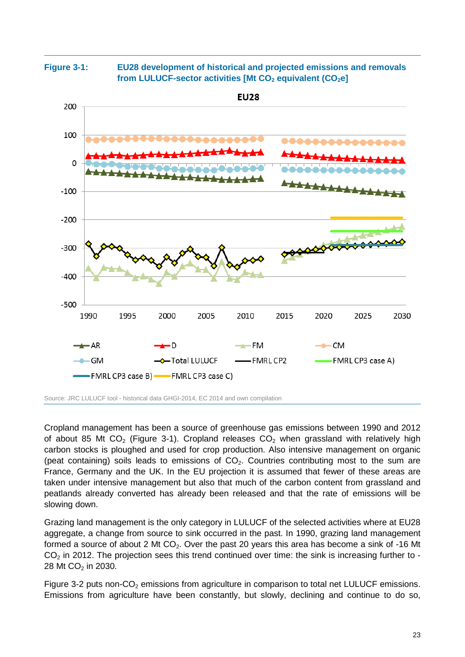<span id="page-22-0"></span>

**Figure 3-1: EU28 development of historical and projected emissions and removals from LULUCF-sector activities [Mt CO<sub>2</sub> equivalent (CO<sub>2</sub>e]** 





Cropland management has been a source of greenhouse gas emissions between 1990 and 2012 of about 85 Mt  $CO<sub>2</sub>$  [\(Figure 3-1\)](#page-22-0). Cropland releases  $CO<sub>2</sub>$  when grassland with relatively high carbon stocks is ploughed and used for crop production. Also intensive management on organic (peat containing) soils leads to emissions of  $CO<sub>2</sub>$ . Countries contributing most to the sum are France, Germany and the UK. In the EU projection it is assumed that fewer of these areas are taken under intensive management but also that much of the carbon content from grassland and peatlands already converted has already been released and that the rate of emissions will be slowing down.

Grazing land management is the only category in LULUCF of the selected activities where at EU28 aggregate, a change from source to sink occurred in the past. In 1990, grazing land management formed a source of about 2 Mt  $CO<sub>2</sub>$ . Over the past 20 years this area has become a sink of -16 Mt  $CO<sub>2</sub>$  in 2012. The projection sees this trend continued over time: the sink is increasing further to -28 Mt CO<sub>2</sub> in 2030.

[Figure 3-2](#page-23-1) puts non-CO<sub>2</sub> emissions from agriculture in comparison to total net LULUCF emissions. Emissions from agriculture have been constantly, but slowly, declining and continue to do so,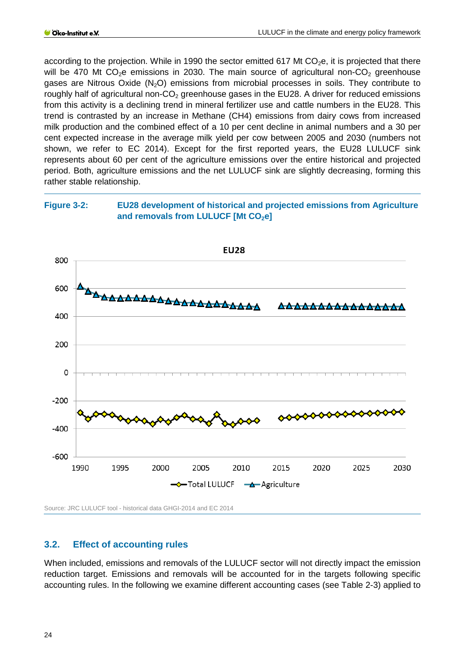according to the projection. While in 1990 the sector emitted 617 Mt  $CO<sub>2</sub>e$ , it is projected that there will be 470 Mt  $CO<sub>2</sub>e$  emissions in 2030. The main source of agricultural non- $CO<sub>2</sub>$  greenhouse gases are Nitrous Oxide  $(N_2O)$  emissions from microbial processes in soils. They contribute to roughly half of agricultural non- $CO<sub>2</sub>$  greenhouse gases in the EU28. A driver for reduced emissions from this activity is a declining trend in mineral fertilizer use and cattle numbers in the EU28. This trend is contrasted by an increase in Methane (CH4) emissions from dairy cows from increased milk production and the combined effect of a 10 per cent decline in animal numbers and a 30 per cent expected increase in the average milk yield per cow between 2005 and 2030 (numbers not shown, we refer to EC 2014). Except for the first reported years, the EU28 LULUCF sink represents about 60 per cent of the agriculture emissions over the entire historical and projected period. Both, agriculture emissions and the net LULUCF sink are slightly decreasing, forming this rather stable relationship.

#### <span id="page-23-1"></span>**Figure 3-2: EU28 development of historical and projected emissions from Agriculture**  and removals from LULUCF [Mt CO<sub>2</sub>e]



Source: JRC LULUCF tool - historical data GHGI-2014 and EC 2014

#### <span id="page-23-0"></span>**3.2. Effect of accounting rules**

When included, emissions and removals of the LULUCF sector will not directly impact the emission reduction target. Emissions and removals will be accounted for in the targets following specific accounting rules. In the following we examine different accounting cases (see [Table 2-3\)](#page-20-0) applied to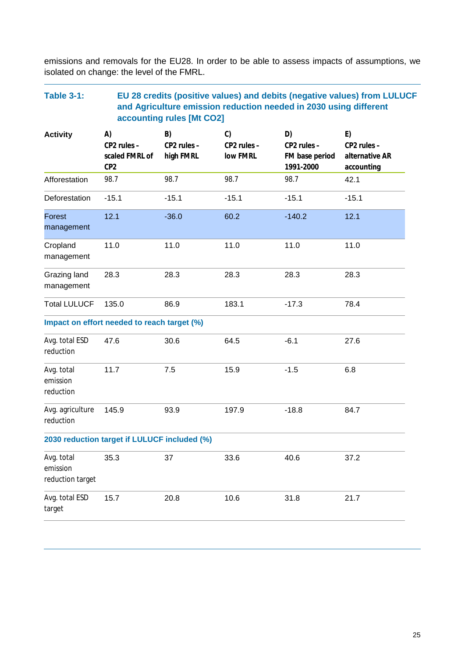emissions and removals for the EU28. In order to be able to assess impacts of assumptions, we isolated on change: the level of the FMRL.

#### <span id="page-24-0"></span>**Table 3-1: EU 28 credits (positive values) and debits (negative values) from LULUCF and Agriculture emission reduction needed in 2030 using different accounting rules [Mt CO2] Activity A) CP2 rules – scaled FMRL of CP2 B) CP2 rules – high FMRL C) CP2 rules – low FMRL D) CP2 rules – FM base period 1991-2000 E) CP2 rules – alternative AR accounting** Afforestation 98.7 98.7 98.7 98.7 98.7 42.1 Deforestation -15.1 -15.1 -15.1 -15.1 -15.1 Forest management 12.1 -36.0 60.2 -140.2 12.1 **Cropland** management 11.0 11.0 11.0 11.0 11.0 Grazing land management 28.3 28.3 28.3 28.3 28.3 Total LULUCF 135.0 86.9 183.1 -17.3 78.4 **Impact on effort needed to reach target (%)** Avg. total ESD reduction 47.6 30.6 64.5 -6.1 27.6 Avg. total emission reduction 11.7 7.5 15.9 -1.5 6.8 Avg. agriculture reduction 145.9 93.9 197.9 -18.8 84.7 **2030 reduction target if LULUCF included (%)** Avg. total emission reduction target 35.3 37 33.6 40.6 37.2 Avg. total ESD target 15.7 20.8 10.6 31.8 21.7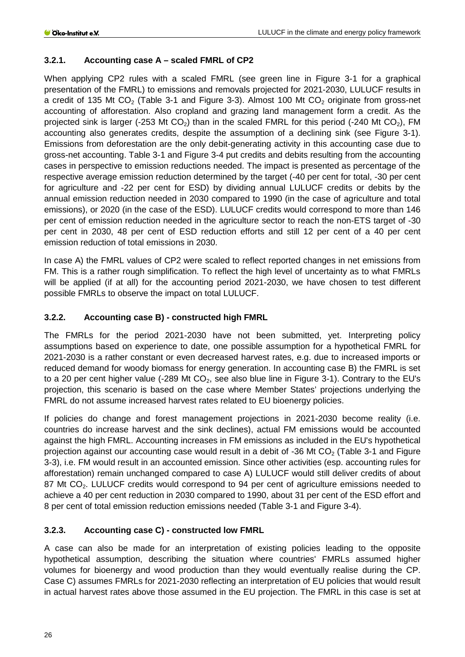#### <span id="page-25-0"></span>**3.2.1. Accounting case A – scaled FMRL of CP2**

When applying CP2 rules with a scaled FMRL (see green line in [Figure 3-1](#page-22-0) for a graphical presentation of the FMRL) to emissions and removals projected for 2021-2030, LULUCF results in a credit of 135 Mt CO<sub>2</sub> [\(Table 3-1](#page-24-0) and [Figure 3-3\)](#page-27-0). Almost 100 Mt CO<sub>2</sub> originate from gross-net accounting of afforestation. Also cropland and grazing land management form a credit. As the projected sink is larger (-253 Mt  $CO<sub>2</sub>$ ) than in the scaled FMRL for this period (-240 Mt  $CO<sub>2</sub>$ ), FM accounting also generates credits, despite the assumption of a declining sink (see [Figure 3-1\)](#page-22-0). Emissions from deforestation are the only debit-generating activity in this accounting case due to gross-net accounting. [Table 3-1](#page-24-0) and [Figure 3-4](#page-28-2) put credits and debits resulting from the accounting cases in perspective to emission reductions needed. The impact is presented as percentage of the respective average emission reduction determined by the target (-40 per cent for total, -30 per cent for agriculture and -22 per cent for ESD) by dividing annual LULUCF credits or debits by the annual emission reduction needed in 2030 compared to 1990 (in the case of agriculture and total emissions), or 2020 (in the case of the ESD). LULUCF credits would correspond to more than 146 per cent of emission reduction needed in the agriculture sector to reach the non-ETS target of -30 per cent in 2030, 48 per cent of ESD reduction efforts and still 12 per cent of a 40 per cent emission reduction of total emissions in 2030.

In case A) the FMRL values of CP2 were scaled to reflect reported changes in net emissions from FM. This is a rather rough simplification. To reflect the high level of uncertainty as to what FMRLs will be applied (if at all) for the accounting period 2021-2030, we have chosen to test different possible FMRLs to observe the impact on total LULUCF.

## <span id="page-25-1"></span>**3.2.2. Accounting case B) - constructed high FMRL**

The FMRLs for the period 2021-2030 have not been submitted, yet. Interpreting policy assumptions based on experience to date, one possible assumption for a hypothetical FMRL for 2021-2030 is a rather constant or even decreased harvest rates, e.g. due to increased imports or reduced demand for woody biomass for energy generation. In accounting case B) the FMRL is set to a 20 per cent higher value (-289 Mt  $CO<sub>2</sub>$ , see also blue line in [Figure 3-1\)](#page-22-0). Contrary to the EU's projection, this scenario is based on the case where Member States' projections underlying the FMRL do not assume increased harvest rates related to EU bioenergy policies.

If policies do change and forest management projections in 2021-2030 become reality (i.e. countries do increase harvest and the sink declines), actual FM emissions would be accounted against the high FMRL. Accounting increases in FM emissions as included in the EU's hypothetical projection against our accounting case would result in a debit of -36 Mt  $CO<sub>2</sub>$  [\(Table 3-1](#page-24-0) and Figure [3-3\)](#page-27-0), i.e. FM would result in an accounted emission. Since other activities (esp. accounting rules for afforestation) remain unchanged compared to case A) LULUCF would still deliver credits of about 87 Mt CO<sub>2</sub>. LULUCF credits would correspond to 94 per cent of agriculture emissions needed to achieve a 40 per cent reduction in 2030 compared to 1990, about 31 per cent of the ESD effort and 8 per cent of total emission reduction emissions needed [\(Table 3-1](#page-24-0) and [Figure 3-4\)](#page-28-2).

## <span id="page-25-2"></span>**3.2.3. Accounting case C) - constructed low FMRL**

A case can also be made for an interpretation of existing policies leading to the opposite hypothetical assumption, describing the situation where countries' FMRLs assumed higher volumes for bioenergy and wood production than they would eventually realise during the CP. Case C) assumes FMRLs for 2021-2030 reflecting an interpretation of EU policies that would result in actual harvest rates above those assumed in the EU projection. The FMRL in this case is set at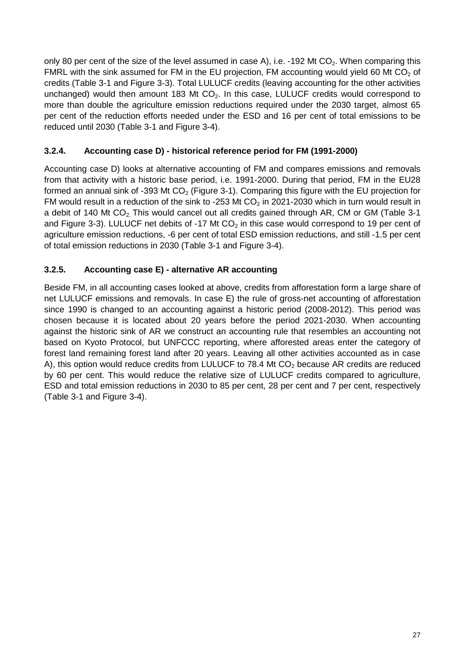only 80 per cent of the size of the level assumed in case A), i.e. -192 Mt  $CO<sub>2</sub>$ . When comparing this FMRL with the sink assumed for FM in the EU projection, FM accounting would yield 60 Mt  $CO<sub>2</sub>$  of credits [\(Table 3-1](#page-24-0) and [Figure 3-3\)](#page-27-0). Total LULUCF credits (leaving accounting for the other activities unchanged) would then amount 183 Mt  $CO<sub>2</sub>$ . In this case, LULUCF credits would correspond to more than double the agriculture emission reductions required under the 2030 target, almost 65 per cent of the reduction efforts needed under the ESD and 16 per cent of total emissions to be reduced until 2030 [\(Table 3-1](#page-24-0) and [Figure 3-4\)](#page-28-2).

# <span id="page-26-0"></span>**3.2.4. Accounting case D) - historical reference period for FM (1991-2000)**

Accounting case D) looks at alternative accounting of FM and compares emissions and removals from that activity with a historic base period, i.e. 1991-2000. During that period, FM in the EU28 formed an annual sink of -393 Mt  $CO<sub>2</sub>$  [\(Figure 3-1\)](#page-22-0). Comparing this figure with the EU projection for FM would result in a reduction of the sink to -253 Mt  $CO<sub>2</sub>$  in 2021-2030 which in turn would result in a debit of 140 Mt  $CO<sub>2</sub>$ . This would cancel out all credits gained through AR, CM or GM [\(Table 3-1](#page-24-0)) and [Figure 3-3\)](#page-27-0). LULUCF net debits of -17 Mt  $CO<sub>2</sub>$  in this case would correspond to 19 per cent of agriculture emission reductions, -6 per cent of total ESD emission reductions, and still -1.5 per cent of total emission reductions in 2030 [\(Table 3-1](#page-24-0) and [Figure 3-4\)](#page-28-2).

# <span id="page-26-1"></span>**3.2.5. Accounting case E) - alternative AR accounting**

Beside FM, in all accounting cases looked at above, credits from afforestation form a large share of net LULUCF emissions and removals. In case E) the rule of gross-net accounting of afforestation since 1990 is changed to an accounting against a historic period (2008-2012). This period was chosen because it is located about 20 years before the period 2021-2030. When accounting against the historic sink of AR we construct an accounting rule that resembles an accounting not based on Kyoto Protocol, but UNFCCC reporting, where afforested areas enter the category of forest land remaining forest land after 20 years. Leaving all other activities accounted as in case A), this option would reduce credits from LULUCF to 78.4 Mt  $CO<sub>2</sub>$  because AR credits are reduced by 60 per cent. This would reduce the relative size of LULUCF credits compared to agriculture, ESD and total emission reductions in 2030 to 85 per cent, 28 per cent and 7 per cent, respectively [\(Table 3-1](#page-24-0) and [Figure 3-4\)](#page-28-2).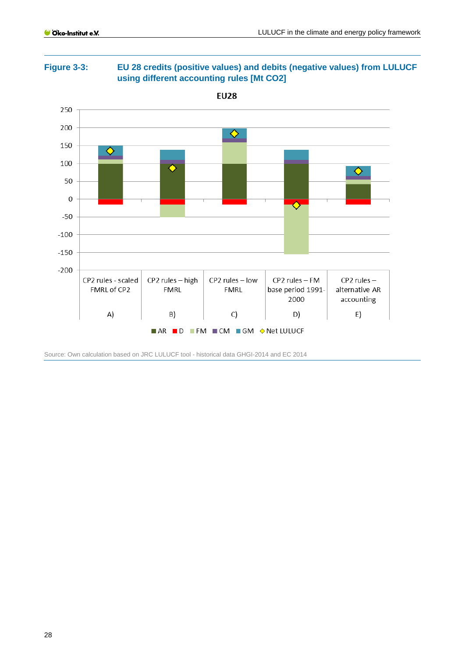

<span id="page-27-0"></span>**Figure 3-3: EU 28 credits (positive values) and debits (negative values) from LULUCF using different accounting rules [Mt CO2]**

Source: Own calculation based on JRC LULUCF tool - historical data GHGI-2014 and EC 2014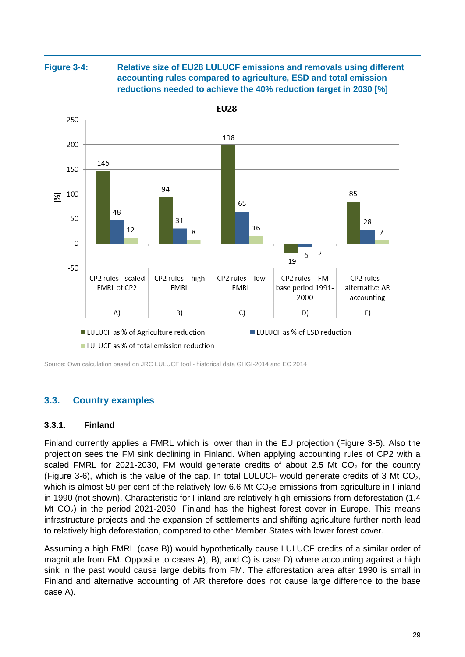<span id="page-28-2"></span>**Figure 3-4: Relative size of EU28 LULUCF emissions and removals using different accounting rules compared to agriculture, ESD and total emission reductions needed to achieve the 40% reduction target in 2030 [%]**



Source: Own calculation based on JRC LULUCF tool - historical data GHGI-2014 and EC 2014

#### <span id="page-28-0"></span>**3.3. Country examples**

#### <span id="page-28-1"></span>**3.3.1. Finland**

Finland currently applies a FMRL which is lower than in the EU projection [\(Figure 3-5\)](#page-29-0). Also the projection sees the FM sink declining in Finland. When applying accounting rules of CP2 with a scaled FMRL for 2021-2030, FM would generate credits of about 2.5 Mt  $CO<sub>2</sub>$  for the country [\(Figure 3-6\)](#page-30-1), which is the value of the cap. In total LULUCF would generate credits of 3 Mt CO<sub>2</sub>, which is almost 50 per cent of the relatively low 6.6 Mt  $CO<sub>2</sub>e$  emissions from agriculture in Finland in 1990 (not shown). Characteristic for Finland are relatively high emissions from deforestation (1.4 Mt  $CO<sub>2</sub>$ ) in the period 2021-2030. Finland has the highest forest cover in Europe. This means infrastructure projects and the expansion of settlements and shifting agriculture further north lead to relatively high deforestation, compared to other Member States with lower forest cover.

Assuming a high FMRL (case B)) would hypothetically cause LULUCF credits of a similar order of magnitude from FM. Opposite to cases A), B), and C) is case D) where accounting against a high sink in the past would cause large debits from FM. The afforestation area after 1990 is small in Finland and alternative accounting of AR therefore does not cause large difference to the base case A).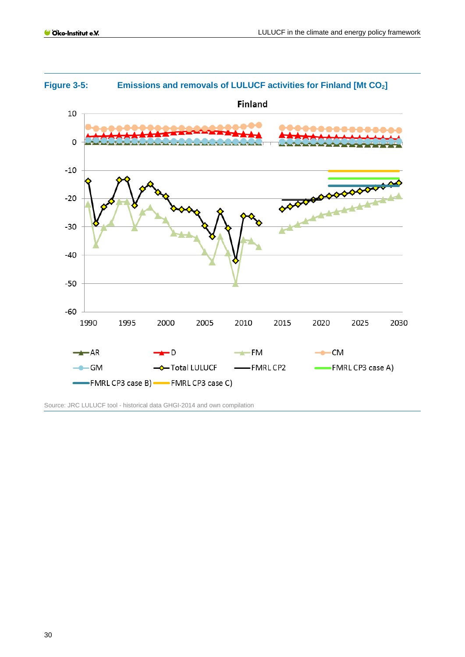

# <span id="page-29-0"></span>**Figure 3-5: Emissions and removals of LULUCF activities for Finland [Mt CO2]**

Source: JRC LULUCF tool - historical data GHGI-2014 and own compilation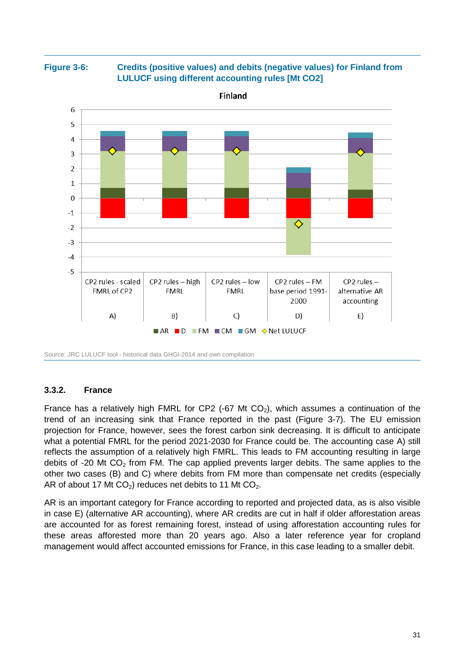<span id="page-30-1"></span>**Figure 3-6: Credits (positive values) and debits (negative values) for Finland from LULUCF using different accounting rules [Mt CO2]**



Source: JRC LULUCF tool - historical data GHGI-2014 and own compilation

#### <span id="page-30-0"></span>**3.3.2. France**

France has a relatively high FMRL for CP2 (-67 Mt  $CO<sub>2</sub>$ ), which assumes a continuation of the trend of an increasing sink that France reported in the past [\(Figure 3-7\)](#page-31-0). The EU emission projection for France, however, sees the forest carbon sink decreasing. It is difficult to anticipate what a potential FMRL for the period 2021-2030 for France could be. The accounting case A) still reflects the assumption of a relatively high FMRL. This leads to FM accounting resulting in large debits of -20 Mt  $CO<sub>2</sub>$  from FM. The cap applied prevents larger debits. The same applies to the other two cases (B) and C) where debits from FM more than compensate net credits (especially AR of about 17 Mt  $CO<sub>2</sub>$ ) reduces net debits to 11 Mt  $CO<sub>2</sub>$ .

AR is an important category for France according to reported and projected data, as is also visible in case E) (alternative AR accounting), where AR credits are cut in half if older afforestation areas are accounted for as forest remaining forest, instead of using afforestation accounting rules for these areas afforested more than 20 years ago. Also a later reference year for cropland management would affect accounted emissions for France, in this case leading to a smaller debit.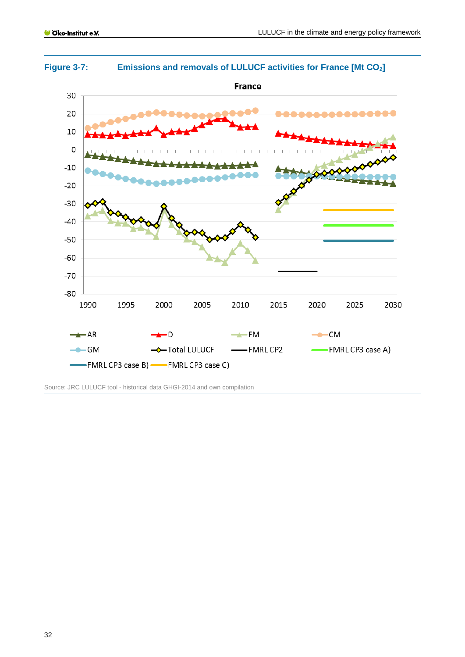

<span id="page-31-0"></span>**Figure 3-7: Emissions and removals of LULUCF activities for France [Mt CO2]**

Source: JRC LULUCF tool - historical data GHGI-2014 and own compilation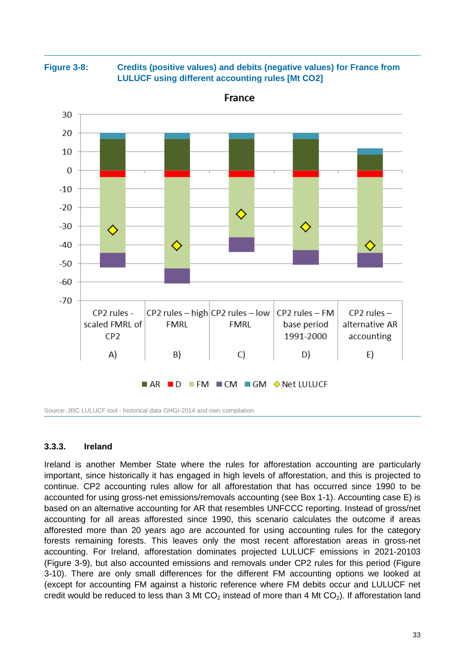**Figure 3-8: Credits (positive values) and debits (negative values) for France from LULUCF using different accounting rules [Mt CO2]**



France

Source: JRC LULUCF tool - historical data GHGI-2014 and own compilation

#### <span id="page-32-0"></span>**3.3.3. Ireland**

Ireland is another Member State where the rules for afforestation accounting are particularly important, since historically it has engaged in high levels of afforestation, and this is projected to continue. CP2 accounting rules allow for all afforestation that has occurred since 1990 to be accounted for using gross-net emissions/removals accounting (see Box 1-1). Accounting case E) is based on an alternative accounting for AR that resembles UNFCCC reporting. Instead of gross/net accounting for all areas afforested since 1990, this scenario calculates the outcome if areas afforested more than 20 years ago are accounted for using accounting rules for the category forests remaining forests. This leaves only the most recent afforestation areas in gross-net accounting. For Ireland, afforestation dominates projected LULUCF emissions in 2021-20103 [\(Figure 3-9\)](#page-33-0), but also accounted emissions and removals under CP2 rules for this period [\(Figure](#page-34-1)  [3-10\)](#page-34-1). There are only small differences for the different FM accounting options we looked at (except for accounting FM against a historic reference where FM debits occur and LULUCF net credit would be reduced to less than 3 Mt  $CO<sub>2</sub>$  instead of more than 4 Mt  $CO<sub>2</sub>$ ). If afforestation land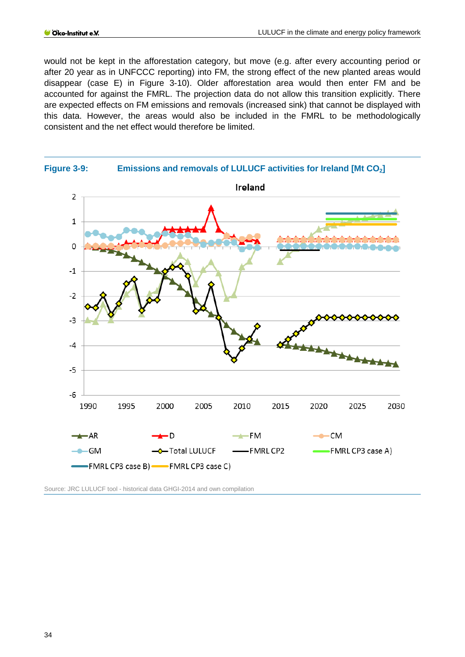would not be kept in the afforestation category, but move (e.g. after every accounting period or after 20 year as in UNFCCC reporting) into FM, the strong effect of the new planted areas would disappear (case E) in [Figure 3-10\)](#page-34-1). Older afforestation area would then enter FM and be accounted for against the FMRL. The projection data do not allow this transition explicitly. There are expected effects on FM emissions and removals (increased sink) that cannot be displayed with this data. However, the areas would also be included in the FMRL to be methodologically consistent and the net effect would therefore be limited.

<span id="page-33-0"></span>

Source: JRC LULUCF tool - historical data GHGI-2014 and own compilation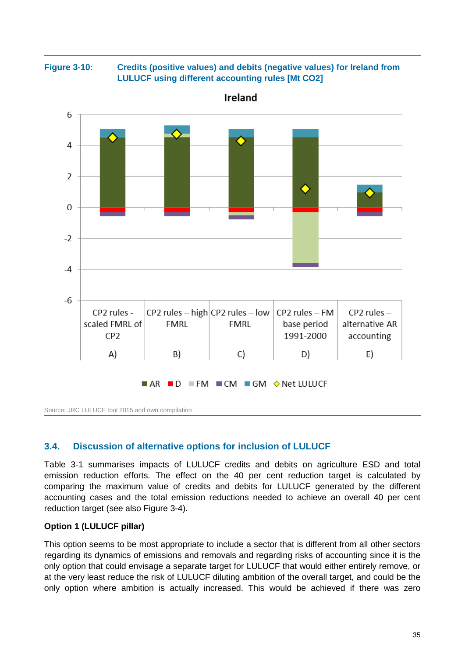<span id="page-34-1"></span>



Source: JRC LULUCF tool 2015 and own compilation

## <span id="page-34-0"></span>**3.4. Discussion of alternative options for inclusion of LULUCF**

[Table 3-1](#page-24-0) summarises impacts of LULUCF credits and debits on agriculture ESD and total emission reduction efforts. The effect on the 40 per cent reduction target is calculated by comparing the maximum value of credits and debits for LULUCF generated by the different accounting cases and the total emission reductions needed to achieve an overall 40 per cent reduction target (see also [Figure 3-4\)](#page-28-2).

#### **Option 1 (LULUCF pillar)**

This option seems to be most appropriate to include a sector that is different from all other sectors regarding its dynamics of emissions and removals and regarding risks of accounting since it is the only option that could envisage a separate target for LULUCF that would either entirely remove, or at the very least reduce the risk of LULUCF diluting ambition of the overall target, and could be the only option where ambition is actually increased. This would be achieved if there was zero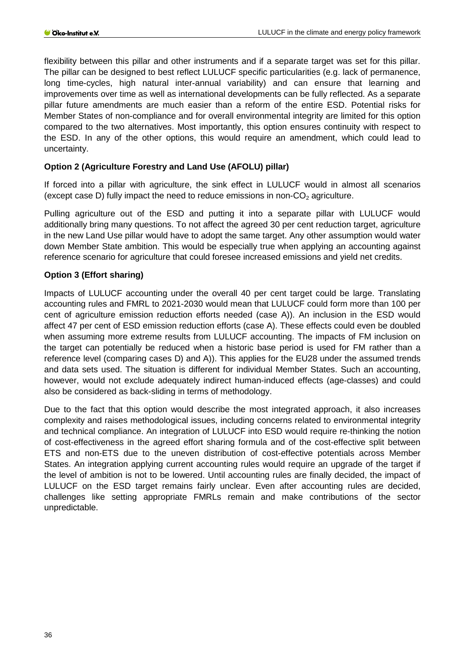flexibility between this pillar and other instruments and if a separate target was set for this pillar. The pillar can be designed to best reflect LULUCF specific particularities (e.g. lack of permanence, long time-cycles, high natural inter-annual variability) and can ensure that learning and improvements over time as well as international developments can be fully reflected. As a separate pillar future amendments are much easier than a reform of the entire ESD. Potential risks for Member States of non-compliance and for overall environmental integrity are limited for this option compared to the two alternatives. Most importantly, this option ensures continuity with respect to the ESD. In any of the other options, this would require an amendment, which could lead to uncertainty.

#### **Option 2 (Agriculture Forestry and Land Use (AFOLU) pillar)**

If forced into a pillar with agriculture, the sink effect in LULUCF would in almost all scenarios (except case D) fully impact the need to reduce emissions in non- $CO<sub>2</sub>$  agriculture.

Pulling agriculture out of the ESD and putting it into a separate pillar with LULUCF would additionally bring many questions. To not affect the agreed 30 per cent reduction target, agriculture in the new Land Use pillar would have to adopt the same target. Any other assumption would water down Member State ambition. This would be especially true when applying an accounting against reference scenario for agriculture that could foresee increased emissions and yield net credits.

#### **Option 3 (Effort sharing)**

Impacts of LULUCF accounting under the overall 40 per cent target could be large. Translating accounting rules and FMRL to 2021-2030 would mean that LULUCF could form more than 100 per cent of agriculture emission reduction efforts needed (case A)). An inclusion in the ESD would affect 47 per cent of ESD emission reduction efforts (case A). These effects could even be doubled when assuming more extreme results from LULUCF accounting. The impacts of FM inclusion on the target can potentially be reduced when a historic base period is used for FM rather than a reference level (comparing cases D) and A)). This applies for the EU28 under the assumed trends and data sets used. The situation is different for individual Member States. Such an accounting, however, would not exclude adequately indirect human-induced effects (age-classes) and could also be considered as back-sliding in terms of methodology.

Due to the fact that this option would describe the most integrated approach, it also increases complexity and raises methodological issues, including concerns related to environmental integrity and technical compliance. An integration of LULUCF into ESD would require re-thinking the notion of cost-effectiveness in the agreed effort sharing formula and of the cost-effective split between ETS and non-ETS due to the uneven distribution of cost-effective potentials across Member States. An integration applying current accounting rules would require an upgrade of the target if the level of ambition is not to be lowered. Until accounting rules are finally decided, the impact of LULUCF on the ESD target remains fairly unclear. Even after accounting rules are decided, challenges like setting appropriate FMRLs remain and make contributions of the sector unpredictable.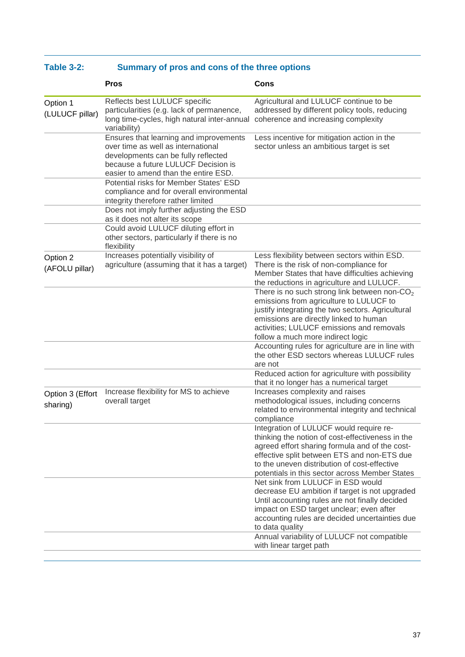| <b>Table 3-2:</b> |  |  | Summary of pros and cons of the three options |  |
|-------------------|--|--|-----------------------------------------------|--|
|-------------------|--|--|-----------------------------------------------|--|

|                              | <b>Pros</b>                                                                                                                                                                                        | Cons                                                                                                                                                                                                                                                                                           |
|------------------------------|----------------------------------------------------------------------------------------------------------------------------------------------------------------------------------------------------|------------------------------------------------------------------------------------------------------------------------------------------------------------------------------------------------------------------------------------------------------------------------------------------------|
| Option 1<br>(LULUCF pillar)  | Reflects best LULUCF specific<br>particularities (e.g. lack of permanence,<br>long time-cycles, high natural inter-annual<br>variability)                                                          | Agricultural and LULUCF continue to be<br>addressed by different policy tools, reducing<br>coherence and increasing complexity                                                                                                                                                                 |
|                              | Ensures that learning and improvements<br>over time as well as international<br>developments can be fully reflected<br>because a future LULUCF Decision is<br>easier to amend than the entire ESD. | Less incentive for mitigation action in the<br>sector unless an ambitious target is set                                                                                                                                                                                                        |
|                              | Potential risks for Member States' ESD<br>compliance and for overall environmental<br>integrity therefore rather limited                                                                           |                                                                                                                                                                                                                                                                                                |
|                              | Does not imply further adjusting the ESD<br>as it does not alter its scope<br>Could avoid LULUCF diluting effort in<br>other sectors, particularly if there is no                                  |                                                                                                                                                                                                                                                                                                |
| Option 2<br>(AFOLU pillar)   | flexibility<br>Increases potentially visibility of<br>agriculture (assuming that it has a target)                                                                                                  | Less flexibility between sectors within ESD.<br>There is the risk of non-compliance for<br>Member States that have difficulties achieving<br>the reductions in agriculture and LULUCF.                                                                                                         |
|                              |                                                                                                                                                                                                    | There is no such strong link between non-CO <sub>2</sub><br>emissions from agriculture to LULUCF to<br>justify integrating the two sectors. Agricultural<br>emissions are directly linked to human<br>activities; LULUCF emissions and removals<br>follow a much more indirect logic           |
|                              |                                                                                                                                                                                                    | Accounting rules for agriculture are in line with<br>the other ESD sectors whereas LULUCF rules<br>are not                                                                                                                                                                                     |
|                              |                                                                                                                                                                                                    | Reduced action for agriculture with possibility<br>that it no longer has a numerical target                                                                                                                                                                                                    |
| Option 3 (Effort<br>sharing) | Increase flexibility for MS to achieve<br>overall target                                                                                                                                           | Increases complexity and raises<br>methodological issues, including concerns<br>related to environmental integrity and technical<br>compliance                                                                                                                                                 |
|                              |                                                                                                                                                                                                    | Integration of LULUCF would require re-<br>thinking the notion of cost-effectiveness in the<br>agreed effort sharing formula and of the cost-<br>effective split between ETS and non-ETS due<br>to the uneven distribution of cost-effective<br>potentials in this sector across Member States |
|                              |                                                                                                                                                                                                    | Net sink from LULUCF in ESD would<br>decrease EU ambition if target is not upgraded<br>Until accounting rules are not finally decided<br>impact on ESD target unclear; even after<br>accounting rules are decided uncertainties due<br>to data quality                                         |
|                              |                                                                                                                                                                                                    | Annual variability of LULUCF not compatible<br>with linear target path                                                                                                                                                                                                                         |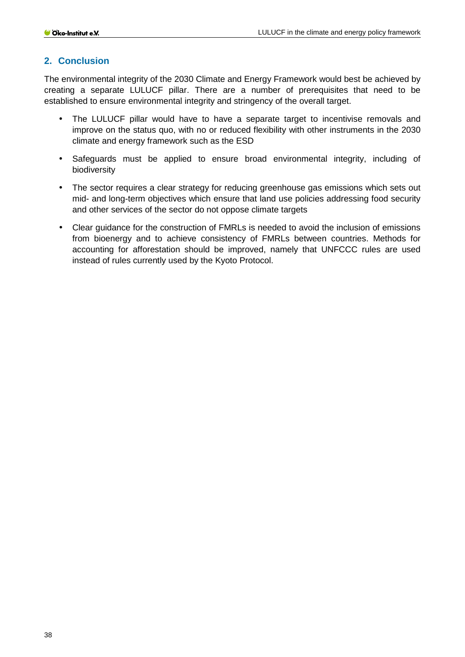## <span id="page-37-0"></span>**2. Conclusion**

The environmental integrity of the 2030 Climate and Energy Framework would best be achieved by creating a separate LULUCF pillar. There are a number of prerequisites that need to be established to ensure environmental integrity and stringency of the overall target.

- The LULUCF pillar would have to have a separate target to incentivise removals and improve on the status quo, with no or reduced flexibility with other instruments in the 2030 climate and energy framework such as the ESD
- Safeguards must be applied to ensure broad environmental integrity, including of  $\mathbf{r}$ biodiversity
- The sector requires a clear strategy for reducing greenhouse gas emissions which sets out  $\mathbf{r}$ mid- and long-term objectives which ensure that land use policies addressing food security and other services of the sector do not oppose climate targets
- Clear guidance for the construction of FMRLs is needed to avoid the inclusion of emissions from bioenergy and to achieve consistency of FMRLs between countries. Methods for accounting for afforestation should be improved, namely that UNFCCC rules are used instead of rules currently used by the Kyoto Protocol.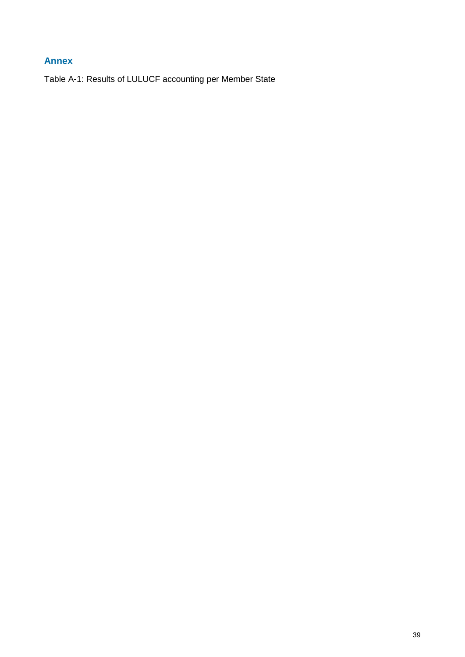# <span id="page-38-0"></span>**Annex**

Table A-1: Results of LULUCF accounting per Member State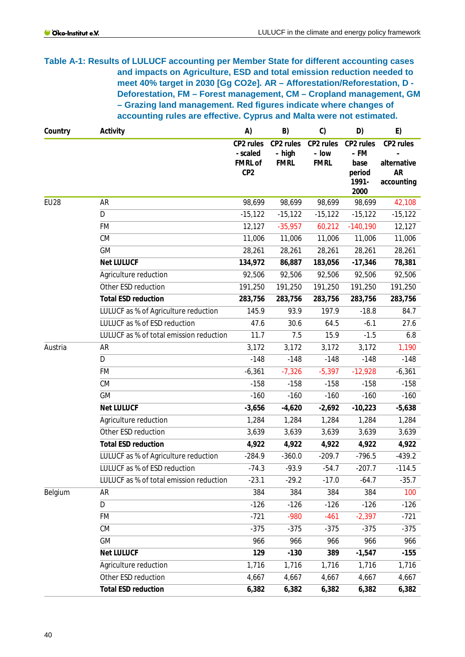**Table A-1: Results of LULUCF accounting per Member State for different accounting cases and impacts on Agriculture, ESD and total emission reduction needed to meet 40% target in 2030 [Gg CO2e]. AR – Afforestation/Reforestation, D - Deforestation, FM – Forest management, CM – Cropland management, GM – Grazing land management. Red figures indicate where changes of accounting rules are effective. Cyprus and Malta were not estimated.**

| Country     | Activity                                | A)                                      | B)                                 | C)                                | D)                        | E)                       |
|-------------|-----------------------------------------|-----------------------------------------|------------------------------------|-----------------------------------|---------------------------|--------------------------|
|             |                                         | CP2 rules<br>- scaled<br><b>FMRL of</b> | CP2 rules<br>– high<br><b>FMRL</b> | CP2 rules<br>– low<br><b>FMRL</b> | CP2 rules<br>– FM<br>base | CP2 rules<br>alternative |
|             |                                         | CP <sub>2</sub>                         |                                    |                                   | period<br>1991-<br>2000   | <b>AR</b><br>accounting  |
| <b>EU28</b> | AR                                      | 98,699                                  | 98,699                             | 98,699                            | 98,699                    | 42,108                   |
|             | D                                       | $-15,122$                               | $-15, 122$                         | $-15,122$                         | $-15,122$                 | $-15,122$                |
|             | <b>FM</b>                               | 12,127                                  | $-35,957$                          | 60,212                            | $-140,190$                | 12,127                   |
|             | CM                                      | 11,006                                  | 11,006                             | 11,006                            | 11,006                    | 11,006                   |
|             | <b>GM</b>                               | 28,261                                  | 28,261                             | 28,261                            | 28,261                    | 28,261                   |
|             | <b>Net LULUCF</b>                       | 134,972                                 | 86,887                             | 183,056                           | $-17,346$                 | 78,381                   |
|             | Agriculture reduction                   | 92,506                                  | 92,506                             | 92,506                            | 92,506                    | 92,506                   |
|             | Other ESD reduction                     | 191,250                                 | 191,250                            | 191,250                           | 191,250                   | 191,250                  |
|             | <b>Total ESD reduction</b>              | 283,756                                 | 283,756                            | 283,756                           | 283,756                   | 283,756                  |
|             | LULUCF as % of Agriculture reduction    | 145.9                                   | 93.9                               | 197.9                             | $-18.8$                   | 84.7                     |
|             | LULUCF as % of ESD reduction            | 47.6                                    | 30.6                               | 64.5                              | $-6.1$                    | 27.6                     |
|             | LULUCF as % of total emission reduction | 11.7                                    | 7.5                                | 15.9                              | $-1.5$                    | 6.8                      |
| Austria     | <b>AR</b>                               | 3,172                                   | 3,172                              | 3,172                             | 3,172                     | 1,190                    |
|             | D                                       | $-148$                                  | $-148$                             | $-148$                            | $-148$                    | $-148$                   |
|             | <b>FM</b>                               | $-6,361$                                | $-7,326$                           | $-5,397$                          | $-12,928$                 | $-6,361$                 |
|             | CM                                      | $-158$                                  | $-158$                             | $-158$                            | $-158$                    | $-158$                   |
|             | <b>GM</b>                               | $-160$                                  | $-160$                             | $-160$                            | $-160$                    | $-160$                   |
|             | <b>Net LULUCF</b>                       | $-3,656$                                | $-4,620$                           | $-2,692$                          | $-10,223$                 | $-5,638$                 |
|             | Agriculture reduction                   | 1,284                                   | 1,284                              | 1,284                             | 1,284                     | 1,284                    |
|             | Other ESD reduction                     | 3,639                                   | 3,639                              | 3,639                             | 3,639                     | 3,639                    |
|             | <b>Total ESD reduction</b>              | 4,922                                   | 4,922                              | 4,922                             | 4,922                     | 4,922                    |
|             | LULUCF as % of Agriculture reduction    | $-284.9$                                | $-360.0$                           | $-209.7$                          | $-796.5$                  | $-439.2$                 |
|             | LULUCF as % of ESD reduction            | $-74.3$                                 | $-93.9$                            | $-54.7$                           | $-207.7$                  | $-114.5$                 |
|             | LULUCF as % of total emission reduction | $-23.1$                                 | $-29.2$                            | $-17.0$                           | $-64.7$                   | $-35.7$                  |
| Belgium     | AR                                      | 384                                     | 384                                | 384                               | 384                       | 100                      |
|             | $\overline{D}$                          | $-126$                                  | $-126$                             | $-126$                            | $-126$                    | $-126$                   |
|             | <b>FM</b>                               | $-721$                                  | $-980$                             | $-461$                            | $-2,397$                  | $-721$                   |
|             | CM                                      | $-375$                                  | $-375$                             | $-375$                            | $-375$                    | $-375$                   |
|             | GM                                      | 966                                     | 966                                | 966                               | 966                       | 966                      |
|             | <b>Net LULUCF</b>                       | 129                                     | $-130$                             | 389                               | $-1,547$                  | $-155$                   |
|             | Agriculture reduction                   | 1,716                                   | 1,716                              | 1,716                             | 1,716                     | 1,716                    |
|             | Other ESD reduction                     | 4,667                                   | 4,667                              | 4,667                             | 4,667                     | 4,667                    |
|             | <b>Total ESD reduction</b>              | 6,382                                   | 6,382                              | 6,382                             | 6,382                     | 6,382                    |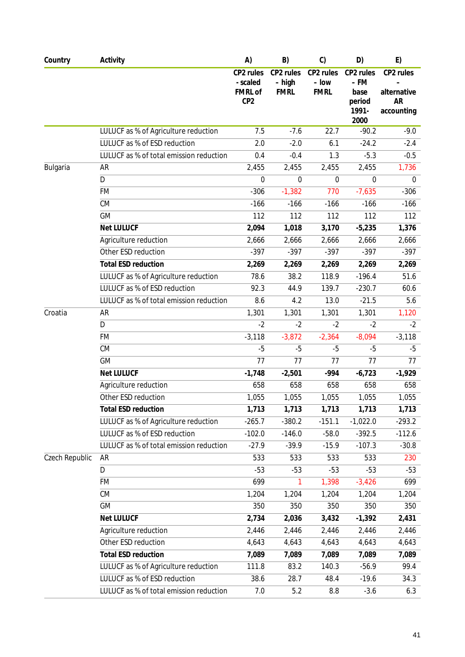| Country        | Activity                                | A)                                                         | B)                                 | C)                                | D)                                           | E)                                                  |
|----------------|-----------------------------------------|------------------------------------------------------------|------------------------------------|-----------------------------------|----------------------------------------------|-----------------------------------------------------|
|                |                                         | CP2 rules<br>- scaled<br><b>FMRL of</b><br>CP <sub>2</sub> | CP2 rules<br>- high<br><b>FMRL</b> | CP2 rules<br>- low<br><b>FMRL</b> | CP2 rules<br>– FM<br>base<br>period<br>1991- | CP2 rules<br>alternative<br><b>AR</b><br>accounting |
|                |                                         |                                                            |                                    |                                   | 2000                                         |                                                     |
|                | LULUCF as % of Agriculture reduction    | 7.5                                                        | $-7.6$                             | 22.7                              | $-90.2$                                      | $-9.0$                                              |
|                | LULUCF as % of ESD reduction            | 2.0                                                        | $-2.0$                             | 6.1                               | $-24.2$                                      | $-2.4$                                              |
|                | LULUCF as % of total emission reduction | 0.4                                                        | $-0.4$                             | 1.3                               | $-5.3$                                       | $-0.5$                                              |
| Bulgaria       | AR                                      | 2,455                                                      | 2,455                              | 2,455                             | 2,455                                        | 1,736                                               |
|                | D                                       | 0                                                          | $\mathbf 0$                        | 0                                 | $\mathbf 0$                                  | 0                                                   |
|                | <b>FM</b>                               | $-306$                                                     | $-1,382$                           | 770                               | $-7,635$                                     | $-306$                                              |
|                | CM                                      | $-166$                                                     | $-166$                             | $-166$                            | $-166$                                       | $-166$                                              |
|                | GM                                      | 112                                                        | 112                                | 112                               | 112                                          | 112                                                 |
|                | <b>Net LULUCF</b>                       | 2,094                                                      | 1,018                              | 3,170                             | $-5,235$                                     | 1,376                                               |
|                | Agriculture reduction                   | 2,666                                                      | 2,666                              | 2,666                             | 2,666                                        | 2,666                                               |
|                | Other ESD reduction                     | $-397$                                                     | $-397$                             | $-397$                            | $-397$                                       | $-397$                                              |
|                | <b>Total ESD reduction</b>              | 2,269                                                      | 2,269                              | 2,269                             | 2,269                                        | 2,269                                               |
|                | LULUCF as % of Agriculture reduction    | 78.6                                                       | 38.2                               | 118.9                             | $-196.4$                                     | 51.6                                                |
|                | LULUCF as % of ESD reduction            | 92.3                                                       | 44.9                               | 139.7                             | $-230.7$                                     | 60.6                                                |
|                | LULUCF as % of total emission reduction | 8.6                                                        | 4.2                                | 13.0                              | $-21.5$                                      | 5.6                                                 |
| Croatia        | AR                                      | 1,301                                                      | 1,301                              | 1,301                             | 1,301                                        | 1,120                                               |
|                | D                                       | $-2$                                                       | $-2$                               | $-2$                              | $-2$                                         | $-2$                                                |
|                | <b>FM</b>                               | $-3,118$                                                   | $-3,872$                           | $-2,364$                          | $-8,094$                                     | $-3,118$                                            |
|                | CM                                      | $-5$                                                       | $-5$                               | $-5$                              | $-5$                                         | $-5$                                                |
|                | <b>GM</b>                               | 77                                                         | 77                                 | 77                                | 77                                           | 77                                                  |
|                | <b>Net LULUCF</b>                       | $-1,748$                                                   | $-2,501$                           | $-994$                            | $-6,723$                                     | $-1,929$                                            |
|                | Agriculture reduction                   | 658                                                        | 658                                | 658                               | 658                                          | 658                                                 |
|                | Other ESD reduction                     | 1,055                                                      | 1,055                              | 1,055                             | 1,055                                        | 1,055                                               |
|                | <b>Total ESD reduction</b>              | 1,713                                                      | 1,713                              | 1,713                             | 1,713                                        | 1,713                                               |
|                | LULUCF as % of Agriculture reduction    | $-265.7$                                                   | $-380.2$                           | $-151.1$                          | $-1,022.0$                                   | $-293.2$                                            |
|                | LULUCF as % of ESD reduction            | $-102.0$                                                   | $-146.0$                           | $-58.0$                           | $-392.5$                                     | $-112.6$                                            |
|                | LULUCF as % of total emission reduction | $-27.9$                                                    | $-39.9$                            | $-15.9$                           | $-107.3$                                     | $-30.8$                                             |
| Czech Republic | AR                                      | 533                                                        | 533                                | 533                               | 533                                          | 230                                                 |
|                | D                                       | $-53$                                                      | $-53$                              | $-53$                             | $-53$                                        | $-53$                                               |
|                | <b>FM</b>                               | 699                                                        | 1                                  | 1,398                             | $-3,426$                                     | 699                                                 |
|                | CM                                      | 1,204                                                      | 1,204                              | 1,204                             | 1,204                                        | 1,204                                               |
|                | GM                                      | 350                                                        | 350                                | 350                               | 350                                          | 350                                                 |
|                | <b>Net LULUCF</b>                       | 2,734                                                      | 2,036                              | 3,432                             | $-1,392$                                     | 2,431                                               |
|                | Agriculture reduction                   | 2,446                                                      | 2,446                              | 2,446                             | 2,446                                        | 2,446                                               |
|                | Other ESD reduction                     | 4,643                                                      | 4,643                              | 4,643                             | 4,643                                        | 4,643                                               |
|                | <b>Total ESD reduction</b>              | 7,089                                                      | 7,089                              | 7,089                             | 7,089                                        | 7,089                                               |
|                | LULUCF as % of Agriculture reduction    | 111.8                                                      | 83.2                               | 140.3                             | $-56.9$                                      | 99.4                                                |
|                | LULUCF as % of ESD reduction            | 38.6                                                       | 28.7                               | 48.4                              | $-19.6$                                      | 34.3                                                |
|                | LULUCF as % of total emission reduction | 7.0                                                        | 5.2                                | 8.8                               | $-3.6$                                       | 6.3                                                 |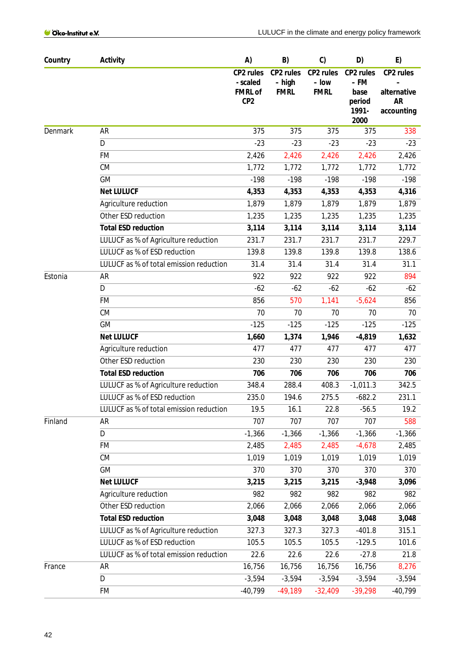| Country | Activity                                | A)                                                         | B)                                 | C)                                | D)                                           | E)                                                  |
|---------|-----------------------------------------|------------------------------------------------------------|------------------------------------|-----------------------------------|----------------------------------------------|-----------------------------------------------------|
|         |                                         | CP2 rules<br>- scaled<br><b>FMRL of</b><br>CP <sub>2</sub> | CP2 rules<br>– high<br><b>FMRL</b> | CP2 rules<br>- low<br><b>FMRL</b> | CP2 rules<br>– FM<br>base<br>period<br>1991- | CP2 rules<br>alternative<br><b>AR</b><br>accounting |
| Denmark | <b>AR</b>                               | 375                                                        | 375                                | 375                               | 2000<br>375                                  | 338                                                 |
|         | D                                       | $-23$                                                      | $-23$                              | $-23$                             | $-23$                                        | $-23$                                               |
|         | <b>FM</b>                               | 2,426                                                      | 2,426                              | 2,426                             | 2,426                                        | 2,426                                               |
|         | CM                                      | 1,772                                                      | 1,772                              | 1,772                             | 1,772                                        | 1,772                                               |
|         | <b>GM</b>                               | $-198$                                                     | $-198$                             | $-198$                            | $-198$                                       | $-198$                                              |
|         | <b>Net LULUCF</b>                       | 4,353                                                      | 4,353                              | 4,353                             | 4,353                                        | 4,316                                               |
|         | Agriculture reduction                   | 1,879                                                      | 1,879                              | 1,879                             | 1,879                                        | 1,879                                               |
|         | Other ESD reduction                     | 1,235                                                      | 1,235                              | 1,235                             | 1,235                                        | 1,235                                               |
|         | <b>Total ESD reduction</b>              | 3,114                                                      | 3,114                              | 3,114                             | 3,114                                        | 3,114                                               |
|         | LULUCF as % of Agriculture reduction    | 231.7                                                      | 231.7                              | 231.7                             | 231.7                                        | 229.7                                               |
|         | LULUCF as % of ESD reduction            | 139.8                                                      | 139.8                              | 139.8                             | 139.8                                        | 138.6                                               |
|         | LULUCF as % of total emission reduction | 31.4                                                       | 31.4                               | 31.4                              | 31.4                                         | 31.1                                                |
| Estonia | <b>AR</b>                               | 922                                                        | 922                                | 922                               | 922                                          | 894                                                 |
|         | D                                       | $-62$                                                      | $-62$                              | $-62$                             | $-62$                                        | $-62$                                               |
|         | <b>FM</b>                               | 856                                                        | 570                                | 1,141                             | $-5,624$                                     | 856                                                 |
|         | CM                                      | 70                                                         | 70                                 | 70                                | 70                                           | 70                                                  |
|         | <b>GM</b>                               | $-125$                                                     | $-125$                             | $-125$                            | $-125$                                       | $-125$                                              |
|         | <b>Net LULUCF</b>                       | 1,660                                                      | 1,374                              | 1,946                             | $-4,819$                                     | 1,632                                               |
|         | Agriculture reduction                   | 477                                                        | 477                                | 477                               | 477                                          | 477                                                 |
|         | Other ESD reduction                     | 230                                                        | 230                                | 230                               | 230                                          | 230                                                 |
|         | <b>Total ESD reduction</b>              | 706                                                        | 706                                | 706                               | 706                                          | 706                                                 |
|         | LULUCF as % of Agriculture reduction    | 348.4                                                      | 288.4                              | 408.3                             | $-1,011.3$                                   | 342.5                                               |
|         | LULUCF as % of ESD reduction            | 235.0                                                      | 194.6                              | 275.5                             | $-682.2$                                     | 231.1                                               |
|         | LULUCF as % of total emission reduction | 19.5                                                       | 16.1                               | 22.8                              | $-56.5$                                      | 19.2                                                |
| Finland | <b>AR</b>                               | 707                                                        | 707                                | 707                               | 707                                          | 588                                                 |
|         | D                                       | $-1,366$                                                   | $-1,366$                           | $-1,366$                          | $-1,366$                                     | $-1,366$                                            |
|         | FM                                      | 2,485                                                      | 2,485                              | 2,485                             | $-4,678$                                     | 2,485                                               |
|         | CM                                      | 1,019                                                      | 1,019                              | 1,019                             | 1,019                                        | 1,019                                               |
|         | <b>GM</b>                               | 370                                                        | 370                                | 370                               | 370                                          | 370                                                 |
|         | <b>Net LULUCF</b>                       | 3,215                                                      | 3,215                              | 3,215                             | $-3,948$                                     | 3,096                                               |
|         | Agriculture reduction                   | 982                                                        | 982                                | 982                               | 982                                          | 982                                                 |
|         | Other ESD reduction                     | 2,066                                                      | 2,066                              | 2,066                             | 2,066                                        | 2,066                                               |
|         | <b>Total ESD reduction</b>              | 3,048                                                      | 3,048                              | 3,048                             | 3,048                                        | 3,048                                               |
|         | LULUCF as % of Agriculture reduction    | 327.3                                                      | 327.3                              | 327.3                             | $-401.8$                                     | 315.1                                               |
|         | LULUCF as % of ESD reduction            | 105.5                                                      | 105.5                              | 105.5                             | $-129.5$                                     | 101.6                                               |
|         | LULUCF as % of total emission reduction | 22.6                                                       | 22.6                               | 22.6                              | $-27.8$                                      | 21.8                                                |
| France  | AR                                      | 16,756                                                     | 16,756                             | 16,756                            | 16,756                                       | 8,276                                               |
|         | D                                       | $-3,594$                                                   | $-3,594$                           | $-3,594$                          | $-3,594$                                     | $-3,594$                                            |
|         | FM                                      | $-40,799$                                                  | $-49,189$                          | $-32,409$                         | $-39,298$                                    | $-40,799$                                           |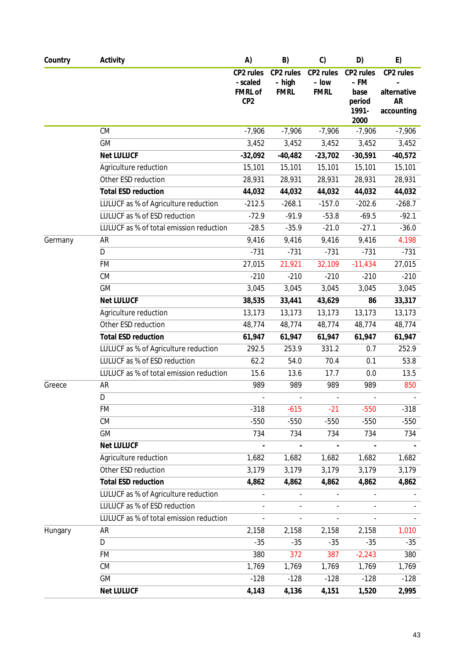| Country | Activity                                | A)                                                         | B)                                 | C                                 | D)                                  | E)                                    |
|---------|-----------------------------------------|------------------------------------------------------------|------------------------------------|-----------------------------------|-------------------------------------|---------------------------------------|
|         |                                         | CP2 rules<br>- scaled<br><b>FMRL of</b><br>CP <sub>2</sub> | CP2 rules<br>- high<br><b>FMRL</b> | CP2 rules<br>– Iow<br><b>FMRL</b> | CP2 rules<br>– FM<br>base<br>period | CP2 rules<br>alternative<br><b>AR</b> |
|         |                                         |                                                            |                                    |                                   | 1991-<br>2000                       | accounting                            |
|         | CM                                      | $-7,906$                                                   | $-7,906$                           | $-7,906$                          | $-7,906$                            | $-7,906$                              |
|         | <b>GM</b>                               | 3,452                                                      | 3,452                              | 3,452                             | 3,452                               | 3,452                                 |
|         | <b>Net LULUCF</b>                       | $-32,092$                                                  | $-40,482$                          | $-23,702$                         | $-30,591$                           | $-40,572$                             |
|         | Agriculture reduction                   | 15,101                                                     | 15,101                             | 15,101                            | 15,101                              | 15,101                                |
|         | Other ESD reduction                     | 28,931                                                     | 28,931                             | 28,931                            | 28,931                              | 28,931                                |
|         | <b>Total ESD reduction</b>              | 44,032                                                     | 44,032                             | 44,032                            | 44,032                              | 44,032                                |
|         | LULUCF as % of Agriculture reduction    | $-212.5$                                                   | $-268.1$                           | $-157.0$                          | $-202.6$                            | $-268.7$                              |
|         | LULUCF as % of ESD reduction            | $-72.9$                                                    | $-91.9$                            | $-53.8$                           | $-69.5$                             | $-92.1$                               |
|         | LULUCF as % of total emission reduction | $-28.5$                                                    | $-35.9$                            | $-21.0$                           | $-27.1$                             | $-36.0$                               |
| Germany | AR                                      | 9,416                                                      | 9,416                              | 9,416                             | 9,416                               | 4,198                                 |
|         | D                                       | $-731$                                                     | $-731$                             | $-731$                            | $-731$                              | $-731$                                |
|         | <b>FM</b>                               | 27,015                                                     | 21,921                             | 32,109                            | $-11,434$                           | 27,015                                |
|         | CM                                      | $-210$                                                     | $-210$                             | $-210$                            | $-210$                              | $-210$                                |
|         | <b>GM</b>                               | 3,045                                                      | 3,045                              | 3,045                             | 3,045                               | 3,045                                 |
|         | <b>Net LULUCF</b>                       | 38,535                                                     | 33,441                             | 43,629                            | 86                                  | 33,317                                |
|         | Agriculture reduction                   | 13,173                                                     | 13,173                             | 13,173                            | 13,173                              | 13,173                                |
|         | Other ESD reduction                     | 48,774                                                     | 48,774                             | 48,774                            | 48,774                              | 48,774                                |
|         | <b>Total ESD reduction</b>              | 61,947                                                     | 61,947                             | 61,947                            | 61,947                              | 61,947                                |
|         | LULUCF as % of Agriculture reduction    | 292.5                                                      | 253.9                              | 331.2                             | 0.7                                 | 252.9                                 |
|         | LULUCF as % of ESD reduction            | 62.2                                                       | 54.0                               | 70.4                              | 0.1                                 | 53.8                                  |
|         | LULUCF as % of total emission reduction | 15.6                                                       | 13.6                               | 17.7                              | 0.0                                 | 13.5                                  |
| Greece  | AR                                      | 989                                                        | 989                                | 989                               | 989                                 | 850                                   |
|         | D                                       |                                                            | $\overline{\phantom{a}}$           |                                   |                                     |                                       |
|         | FM                                      | $-318$                                                     | $-615$                             | $-21$                             | $-550$                              | $-318$                                |
|         | CM                                      | $-550$                                                     | $-550$                             | $-550$                            | $-550$                              | $-550$                                |
|         | <b>GM</b>                               | 734                                                        | 734                                | 734                               | 734                                 | 734                                   |
|         | <b>Net LULUCF</b>                       |                                                            |                                    |                                   |                                     |                                       |
|         | Agriculture reduction                   | 1,682                                                      | 1,682                              | 1,682                             | 1,682                               | 1,682                                 |
|         | Other ESD reduction                     | 3,179                                                      | 3,179                              | 3,179                             | 3,179                               | 3,179                                 |
|         | <b>Total ESD reduction</b>              | 4,862                                                      | 4,862                              | 4,862                             | 4,862                               | 4,862                                 |
|         | LULUCF as % of Agriculture reduction    |                                                            | $\overline{\phantom{a}}$           |                                   |                                     |                                       |
|         | LULUCF as % of ESD reduction            |                                                            |                                    |                                   |                                     |                                       |
|         | LULUCF as % of total emission reduction |                                                            | $\overline{a}$                     | $\overline{\phantom{a}}$          |                                     |                                       |
| Hungary | AR                                      | 2,158                                                      | 2,158                              | 2,158                             | 2,158                               | 1,010                                 |
|         | D                                       | $-35$                                                      | $-35$                              | $-35$                             | $-35$                               | $-35$                                 |
|         | FM                                      | 380                                                        | 372                                | 387                               | $-2,243$                            | 380                                   |
|         | CM                                      | 1,769                                                      | 1,769                              | 1,769                             | 1,769                               | 1,769                                 |
|         | GM                                      | $-128$                                                     | $-128$                             | $-128$                            | $-128$                              | $-128$                                |
|         | <b>Net LULUCF</b>                       | 4,143                                                      | 4,136                              | 4,151                             | 1,520                               | 2,995                                 |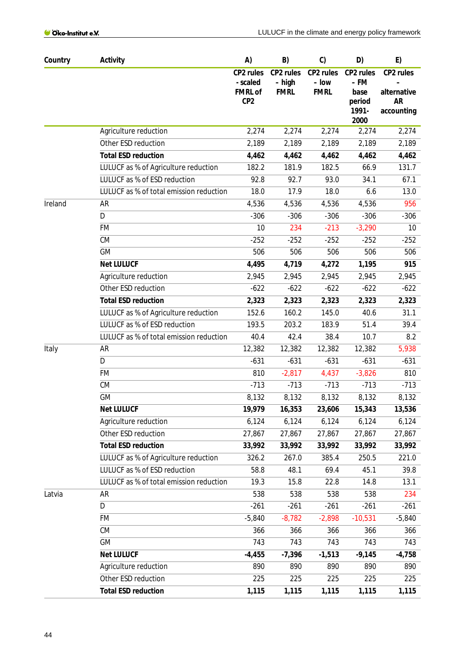| Country | Activity                                | A)                                                         | B)                                 | C)                                | D)                                                   | E)                                                  |
|---------|-----------------------------------------|------------------------------------------------------------|------------------------------------|-----------------------------------|------------------------------------------------------|-----------------------------------------------------|
|         |                                         | CP2 rules<br>- scaled<br><b>FMRL of</b><br>CP <sub>2</sub> | CP2 rules<br>- high<br><b>FMRL</b> | CP2 rules<br>- low<br><b>FMRL</b> | CP2 rules<br>– FM<br>base<br>period<br>1991-<br>2000 | CP2 rules<br>alternative<br><b>AR</b><br>accounting |
|         | Agriculture reduction                   | 2,274                                                      | 2,274                              | 2,274                             | 2,274                                                | 2,274                                               |
|         | Other ESD reduction                     | 2,189                                                      | 2,189                              | 2,189                             | 2,189                                                | 2,189                                               |
|         | <b>Total ESD reduction</b>              | 4,462                                                      | 4,462                              | 4,462                             | 4,462                                                | 4,462                                               |
|         | LULUCF as % of Agriculture reduction    | 182.2                                                      | 181.9                              | 182.5                             | 66.9                                                 | 131.7                                               |
|         | LULUCF as % of ESD reduction            | 92.8                                                       | 92.7                               | 93.0                              | 34.1                                                 | 67.1                                                |
|         | LULUCF as % of total emission reduction | 18.0                                                       | 17.9                               | 18.0                              | 6.6                                                  | 13.0                                                |
| Ireland | <b>AR</b>                               | 4,536                                                      | 4,536                              | 4,536                             | 4,536                                                | 956                                                 |
|         | D                                       | $-306$                                                     | $-306$                             | $-306$                            | $-306$                                               | $-306$                                              |
|         | FM                                      | 10                                                         | 234                                | $-213$                            | $-3,290$                                             | 10                                                  |
|         | CM                                      | $-252$                                                     | $-252$                             | $-252$                            | $-252$                                               | $-252$                                              |
|         | <b>GM</b>                               | 506                                                        | 506                                | 506                               | 506                                                  | 506                                                 |
|         | <b>Net LULUCF</b>                       | 4,495                                                      | 4,719                              | 4,272                             | 1,195                                                | 915                                                 |
|         | Agriculture reduction                   | 2,945                                                      | 2,945                              | 2,945                             | 2,945                                                | 2,945                                               |
|         | Other ESD reduction                     | $-622$                                                     | $-622$                             | $-622$                            | $-622$                                               | $-622$                                              |
|         | <b>Total ESD reduction</b>              | 2,323                                                      | 2,323                              | 2,323                             | 2,323                                                | 2,323                                               |
|         | LULUCF as % of Agriculture reduction    | 152.6                                                      | 160.2                              | 145.0                             | 40.6                                                 | 31.1                                                |
|         | LULUCF as % of ESD reduction            | 193.5                                                      | 203.2                              | 183.9                             | 51.4                                                 | 39.4                                                |
|         | LULUCF as % of total emission reduction | 40.4                                                       | 42.4                               | 38.4                              | 10.7                                                 | 8.2                                                 |
| Italy   | <b>AR</b>                               | 12,382                                                     | 12,382                             | 12,382                            | 12,382                                               | 5,938                                               |
|         | D                                       | $-631$                                                     | $-631$                             | $-631$                            | $-631$                                               | $-631$                                              |
|         | <b>FM</b>                               | 810                                                        | $-2,817$                           | 4,437                             | $-3,826$                                             | 810                                                 |
|         | CM                                      | $-713$                                                     | $-713$                             | $-713$                            | $-713$                                               | $-713$                                              |
|         | GM                                      | 8,132                                                      | 8,132                              | 8,132                             | 8,132                                                | 8,132                                               |
|         | <b>Net LULUCF</b>                       | 19,979                                                     | 16,353                             | 23,606                            | 15,343                                               | 13,536                                              |
|         | Agriculture reduction                   | 6,124                                                      | 6,124                              | 6,124                             | 6,124                                                | 6,124                                               |
|         | Other ESD reduction                     | 27,867                                                     | 27,867                             | 27,867                            | 27,867                                               | 27,867                                              |
|         | <b>Total ESD reduction</b>              | 33,992                                                     | 33,992                             | 33,992                            | 33,992                                               | 33,992                                              |
|         | LULUCF as % of Agriculture reduction    | 326.2                                                      | 267.0                              | 385.4                             | 250.5                                                | 221.0                                               |
|         | LULUCF as % of ESD reduction            | 58.8                                                       | 48.1                               | 69.4                              | 45.1                                                 | 39.8                                                |
|         | LULUCF as % of total emission reduction | 19.3                                                       | 15.8                               | 22.8                              | 14.8                                                 | 13.1                                                |
| Latvia  | <b>AR</b>                               | 538                                                        | 538                                | 538                               | 538                                                  | 234                                                 |
|         | D                                       | $-261$                                                     | $-261$                             | $-261$                            | $-261$                                               | $-261$                                              |
|         | FM                                      | $-5,840$                                                   | $-8,782$                           | $-2,898$                          | $-10,531$                                            | $-5,840$                                            |
|         | CM                                      | 366                                                        | 366                                | 366                               | 366                                                  | 366                                                 |
|         | GM                                      | 743                                                        | 743                                | 743                               | 743                                                  | 743                                                 |
|         | <b>Net LULUCF</b>                       | $-4,455$                                                   | $-7,396$                           | $-1,513$                          | $-9,145$                                             | $-4,758$                                            |
|         | Agriculture reduction                   | 890                                                        | 890                                | 890                               | 890                                                  | 890                                                 |
|         | Other ESD reduction                     | 225                                                        | 225                                | 225                               | 225                                                  | 225                                                 |
|         | <b>Total ESD reduction</b>              | 1,115                                                      | 1,115                              | 1,115                             | 1,115                                                | 1,115                                               |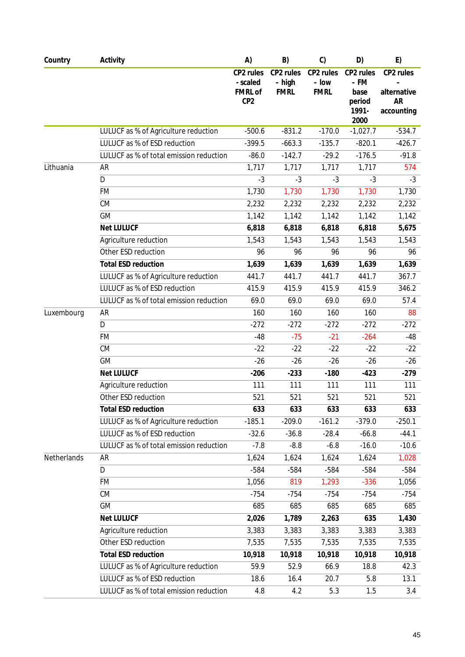| Country     | Activity                                | A)                                                         | B)                                 | C)                                | D)                                           | E)                                                  |
|-------------|-----------------------------------------|------------------------------------------------------------|------------------------------------|-----------------------------------|----------------------------------------------|-----------------------------------------------------|
|             |                                         | CP2 rules<br>- scaled<br><b>FMRL of</b><br>CP <sub>2</sub> | CP2 rules<br>- high<br><b>FMRL</b> | CP2 rules<br>– low<br><b>FMRL</b> | CP2 rules<br>– FM<br>base<br>period<br>1991- | CP2 rules<br>alternative<br><b>AR</b><br>accounting |
|             |                                         |                                                            |                                    |                                   | 2000                                         |                                                     |
|             | LULUCF as % of Agriculture reduction    | $-500.6$                                                   | $-831.2$                           | $-170.0$                          | $-1,027.7$                                   | $-534.7$                                            |
|             | LULUCF as % of ESD reduction            | $-399.5$                                                   | $-663.3$                           | $-135.7$                          | $-820.1$                                     | $-426.7$                                            |
|             | LULUCF as % of total emission reduction | $-86.0$                                                    | $-142.7$                           | $-29.2$                           | $-176.5$                                     | $-91.8$                                             |
| Lithuania   | AR                                      | 1,717                                                      | 1,717                              | 1,717                             | 1,717                                        | 574                                                 |
|             | D                                       | $-3$                                                       | $-3$                               | $-3$                              | $-3$                                         | $-3$                                                |
|             | <b>FM</b>                               | 1,730                                                      | 1,730                              | 1,730                             | 1,730                                        | 1,730                                               |
|             | CM                                      | 2,232                                                      | 2,232                              | 2,232                             | 2,232                                        | 2,232                                               |
|             | GM                                      | 1,142                                                      | 1,142                              | 1,142                             | 1,142                                        | 1,142                                               |
|             | <b>Net LULUCF</b>                       | 6,818                                                      | 6,818                              | 6,818                             | 6,818                                        | 5,675                                               |
|             | Agriculture reduction                   | 1,543                                                      | 1,543                              | 1,543                             | 1,543                                        | 1,543                                               |
|             | Other ESD reduction                     | 96                                                         | 96                                 | 96                                | 96                                           | 96                                                  |
|             | <b>Total ESD reduction</b>              | 1,639                                                      | 1,639                              | 1,639                             | 1,639                                        | 1,639                                               |
|             | LULUCF as % of Agriculture reduction    | 441.7                                                      | 441.7                              | 441.7                             | 441.7                                        | 367.7                                               |
|             | LULUCF as % of ESD reduction            | 415.9                                                      | 415.9                              | 415.9                             | 415.9                                        | 346.2                                               |
|             | LULUCF as % of total emission reduction | 69.0                                                       | 69.0                               | 69.0                              | 69.0                                         | 57.4                                                |
| Luxembourg  | AR                                      | 160                                                        | 160                                | 160                               | 160                                          | 88                                                  |
|             | $\overline{D}$                          | $-272$                                                     | $-272$                             | $-272$                            | $-272$                                       | $-272$                                              |
|             | <b>FM</b>                               | $-48$                                                      | $-75$                              | $-21$                             | $-264$                                       | -48                                                 |
|             | CM                                      | $-22$                                                      | $-22$                              | $-22$                             | $-22$                                        | $-22$                                               |
|             | GM                                      | $-26$                                                      | $-26$                              | $-26$                             | $-26$                                        | $-26$                                               |
|             | <b>Net LULUCF</b>                       | $-206$                                                     | $-233$                             | $-180$                            | $-423$                                       | $-279$                                              |
|             | Agriculture reduction                   | 111                                                        | 111                                | 111                               | 111                                          | 111                                                 |
|             | Other ESD reduction                     | 521                                                        | 521                                | 521                               | 521                                          | 521                                                 |
|             | <b>Total ESD reduction</b>              | 633                                                        | 633                                | 633                               | 633                                          | 633                                                 |
|             | LULUCF as % of Agriculture reduction    | $-185.1$                                                   | $-209.0$                           | $-161.2$                          | $-379.0$                                     | $-250.1$                                            |
|             | LULUCF as % of ESD reduction            | $-32.6$                                                    | $-36.8$                            | $-28.4$                           | $-66.8$                                      | $-44.1$                                             |
|             | LULUCF as % of total emission reduction | $-7.8$                                                     | $-8.8$                             | $-6.8$                            | $-16.0$                                      | $-10.6$                                             |
| Netherlands | AR                                      | 1,624                                                      | 1,624                              | 1,624                             | 1,624                                        | 1,028                                               |
|             | D                                       | $-584$                                                     | $-584$                             | $-584$                            | $-584$                                       | $-584$                                              |
|             | FM                                      | 1,056                                                      | 819                                | 1,293                             | $-336$                                       | 1,056                                               |
|             | CM                                      | $-754$                                                     | $-754$                             | $-754$                            | $-754$                                       | $-754$                                              |
|             | GM                                      | 685                                                        | 685                                | 685                               | 685                                          | 685                                                 |
|             | <b>Net LULUCF</b>                       | 2,026                                                      | 1,789                              | 2,263                             | 635                                          | 1,430                                               |
|             | Agriculture reduction                   | 3,383                                                      | 3,383                              | 3,383                             | 3,383                                        | 3,383                                               |
|             | Other ESD reduction                     | 7,535                                                      | 7,535                              | 7,535                             | 7,535                                        | 7,535                                               |
|             | <b>Total ESD reduction</b>              | 10,918                                                     | 10,918                             | 10,918                            | 10,918                                       | 10,918                                              |
|             | LULUCF as % of Agriculture reduction    | 59.9                                                       | 52.9                               | 66.9                              | 18.8                                         | 42.3                                                |
|             | LULUCF as % of ESD reduction            | 18.6                                                       | 16.4                               | 20.7                              | 5.8                                          | 13.1                                                |
|             | LULUCF as % of total emission reduction | 4.8                                                        | 4.2                                | 5.3                               | 1.5                                          | 3.4                                                 |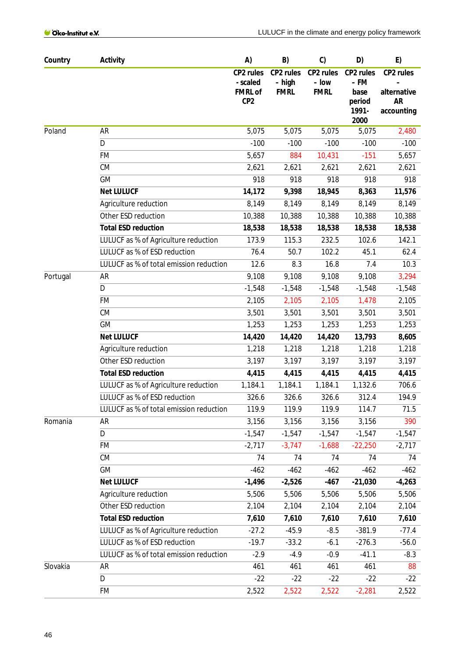| Country  | Activity                                     | A)                                                         | B)                                   | C)                                | D)                                           | E)                                                  |
|----------|----------------------------------------------|------------------------------------------------------------|--------------------------------------|-----------------------------------|----------------------------------------------|-----------------------------------------------------|
|          |                                              | CP2 rules<br>- scaled<br><b>FMRL of</b><br>CP <sub>2</sub> | CP2 rules<br>$-$ high<br><b>FMRL</b> | CP2 rules<br>- low<br><b>FMRL</b> | CP2 rules<br>– FM<br>base<br>period<br>1991- | CP2 rules<br>alternative<br><b>AR</b><br>accounting |
|          |                                              |                                                            |                                      |                                   | 2000                                         |                                                     |
| Poland   | <b>AR</b><br>D                               | 5,075<br>$-100$                                            | 5,075                                | 5,075                             | 5,075<br>$-100$                              | 2,480                                               |
|          |                                              |                                                            | $-100$                               | $-100$                            |                                              | $-100$                                              |
|          | <b>FM</b><br>CM                              | 5,657                                                      | 884                                  | 10,431                            | $-151$                                       | 5,657                                               |
|          | <b>GM</b>                                    | 2,621<br>918                                               | 2,621<br>918                         | 2,621<br>918                      | 2,621<br>918                                 | 2,621<br>918                                        |
|          |                                              |                                                            |                                      |                                   |                                              |                                                     |
|          | <b>Net LULUCF</b>                            | 14,172<br>8,149                                            | 9,398                                | 18,945                            | 8,363                                        | 11,576<br>8,149                                     |
|          | Agriculture reduction<br>Other ESD reduction | 10,388                                                     | 8,149<br>10,388                      | 8,149<br>10,388                   | 8,149<br>10,388                              |                                                     |
|          | <b>Total ESD reduction</b>                   |                                                            |                                      |                                   |                                              | 10,388                                              |
|          | LULUCF as % of Agriculture reduction         | 18,538<br>173.9                                            | 18,538<br>115.3                      | 18,538<br>232.5                   | 18,538<br>102.6                              | 18,538<br>142.1                                     |
|          | LULUCF as % of ESD reduction                 | 76.4                                                       | 50.7                                 | 102.2                             | 45.1                                         | 62.4                                                |
|          | LULUCF as % of total emission reduction      | 12.6                                                       | 8.3                                  | 16.8                              | 7.4                                          | 10.3                                                |
| Portugal | AR                                           | 9,108                                                      | 9,108                                | 9,108                             | 9,108                                        | 3,294                                               |
|          | D                                            | $-1,548$                                                   | $-1,548$                             | $-1,548$                          | $-1,548$                                     | $-1,548$                                            |
|          | FM                                           | 2,105                                                      | 2,105                                | 2,105                             | 1,478                                        | 2,105                                               |
|          | CM                                           | 3,501                                                      | 3,501                                | 3,501                             | 3,501                                        | 3,501                                               |
|          | <b>GM</b>                                    | 1,253                                                      | 1,253                                | 1,253                             | 1,253                                        | 1,253                                               |
|          | <b>Net LULUCF</b>                            | 14,420                                                     | 14,420                               | 14,420                            | 13,793                                       | 8,605                                               |
|          | Agriculture reduction                        | 1,218                                                      | 1,218                                | 1,218                             | 1,218                                        | 1,218                                               |
|          | Other ESD reduction                          | 3,197                                                      | 3,197                                | 3,197                             | 3,197                                        | 3,197                                               |
|          | <b>Total ESD reduction</b>                   | 4,415                                                      | 4,415                                | 4,415                             | 4,415                                        | 4,415                                               |
|          | LULUCF as % of Agriculture reduction         | 1,184.1                                                    | 1,184.1                              | 1,184.1                           | 1,132.6                                      | 706.6                                               |
|          | LULUCF as % of ESD reduction                 | 326.6                                                      | 326.6                                | 326.6                             | 312.4                                        | 194.9                                               |
|          | LULUCF as % of total emission reduction      | 119.9                                                      | 119.9                                | 119.9                             | 114.7                                        | 71.5                                                |
| Romania  | <b>AR</b>                                    | 3,156                                                      | 3,156                                | 3,156                             | 3,156                                        | 390                                                 |
|          | D                                            | $-1,547$                                                   | $-1,547$                             | $-1,547$                          | $-1,547$                                     | $-1,547$                                            |
|          | <b>FM</b>                                    | $-2,717$                                                   | $-3,747$                             | $-1,688$                          | $-22,250$                                    | $-2,717$                                            |
|          | CM                                           | 74                                                         | 74                                   | 74                                | 74                                           | 74                                                  |
|          | <b>GM</b>                                    | $-462$                                                     | $-462$                               | $-462$                            | $-462$                                       | $-462$                                              |
|          | <b>Net LULUCF</b>                            | $-1,496$                                                   | $-2,526$                             | $-467$                            | $-21,030$                                    | $-4,263$                                            |
|          | Agriculture reduction                        | 5,506                                                      | 5,506                                | 5,506                             | 5,506                                        | 5,506                                               |
|          | Other ESD reduction                          | 2,104                                                      | 2,104                                | 2,104                             | 2,104                                        | 2,104                                               |
|          | <b>Total ESD reduction</b>                   | 7,610                                                      | 7,610                                | 7,610                             | 7,610                                        | 7,610                                               |
|          | LULUCF as % of Agriculture reduction         | $-27.2$                                                    | $-45.9$                              | $-8.5$                            | $-381.9$                                     | $-77.4$                                             |
|          | LULUCF as % of ESD reduction                 | $-19.7$                                                    | $-33.2$                              | $-6.1$                            | $-276.3$                                     | $-56.0$                                             |
|          | LULUCF as % of total emission reduction      | $-2.9$                                                     | $-4.9$                               | $-0.9$                            | $-41.1$                                      | $-8.3$                                              |
| Slovakia | AR                                           | 461                                                        | 461                                  | 461                               | 461                                          | 88                                                  |
|          | D                                            | $-22$                                                      | $-22$                                | $-22$                             | $-22$                                        | $-22$                                               |
|          | FM                                           | 2,522                                                      | 2,522                                | 2,522                             | $-2,281$                                     | 2,522                                               |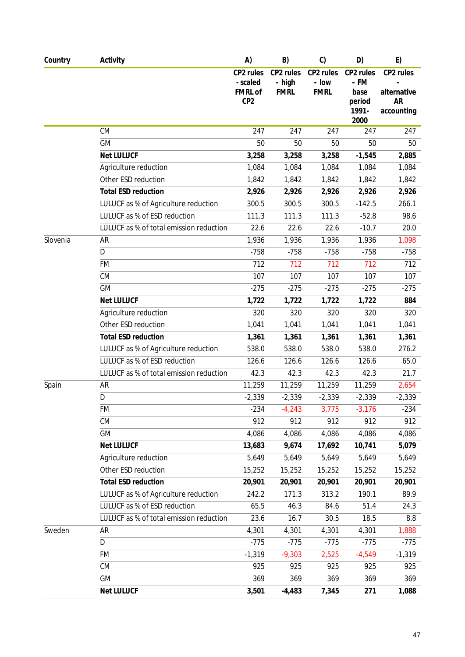| Country  | Activity                                | A)                                                         | B)                                 | C                                 | D)                                           | E)                                                  |
|----------|-----------------------------------------|------------------------------------------------------------|------------------------------------|-----------------------------------|----------------------------------------------|-----------------------------------------------------|
|          |                                         | CP2 rules<br>- scaled<br><b>FMRL of</b><br>CP <sub>2</sub> | CP2 rules<br>- high<br><b>FMRL</b> | CP2 rules<br>– Iow<br><b>FMRL</b> | CP2 rules<br>– FM<br>base<br>period<br>1991- | CP2 rules<br>alternative<br><b>AR</b><br>accounting |
|          |                                         |                                                            |                                    |                                   | 2000                                         |                                                     |
|          | CM                                      | 247                                                        | 247                                | 247                               | 247                                          | 247                                                 |
|          | <b>GM</b>                               | 50                                                         | 50                                 | 50                                | 50                                           | 50                                                  |
|          | <b>Net LULUCF</b>                       | 3,258                                                      | 3,258                              | 3,258                             | $-1,545$                                     | 2,885                                               |
|          | Agriculture reduction                   | 1,084                                                      | 1,084                              | 1,084                             | 1,084                                        | 1,084                                               |
|          | Other ESD reduction                     | 1,842                                                      | 1,842                              | 1,842                             | 1,842                                        | 1,842                                               |
|          | <b>Total ESD reduction</b>              | 2,926                                                      | 2,926                              | 2,926                             | 2,926                                        | 2,926                                               |
|          | LULUCF as % of Agriculture reduction    | 300.5                                                      | 300.5                              | 300.5                             | $-142.5$                                     | 266.1                                               |
|          | LULUCF as % of ESD reduction            | 111.3                                                      | 111.3                              | 111.3                             | $-52.8$                                      | 98.6                                                |
|          | LULUCF as % of total emission reduction | 22.6                                                       | 22.6                               | 22.6                              | $-10.7$                                      | 20.0                                                |
| Slovenia | AR                                      | 1,936                                                      | 1,936                              | 1,936                             | 1,936                                        | 1,098                                               |
|          | D                                       | $-758$                                                     | $-758$                             | $-758$                            | $-758$                                       | $-758$                                              |
|          | <b>FM</b>                               | 712                                                        | 712                                | 712                               | 712                                          | 712                                                 |
|          | CM                                      | 107                                                        | 107                                | 107                               | 107                                          | 107                                                 |
|          | <b>GM</b>                               | $-275$                                                     | $-275$                             | $-275$                            | $-275$                                       | $-275$                                              |
|          | <b>Net LULUCF</b>                       | 1,722                                                      | 1,722                              | 1,722                             | 1,722                                        | 884                                                 |
|          | Agriculture reduction                   | 320                                                        | 320                                | 320                               | 320                                          | 320                                                 |
|          | Other ESD reduction                     | 1,041                                                      | 1,041                              | 1,041                             | 1,041                                        | 1,041                                               |
|          | <b>Total ESD reduction</b>              | 1,361                                                      | 1,361                              | 1,361                             | 1,361                                        | 1,361                                               |
|          | LULUCF as % of Agriculture reduction    | 538.0                                                      | 538.0                              | 538.0                             | 538.0                                        | 276.2                                               |
|          | LULUCF as % of ESD reduction            | 126.6                                                      | 126.6                              | 126.6                             | 126.6                                        | 65.0                                                |
|          | LULUCF as % of total emission reduction | 42.3                                                       | 42.3                               | 42.3                              | 42.3                                         | 21.7                                                |
| Spain    | AR                                      | 11,259                                                     | 11,259                             | 11,259                            | 11,259                                       | 2,654                                               |
|          | D                                       | $-2,339$                                                   | $-2,339$                           | $-2,339$                          | $-2,339$                                     | $-2,339$                                            |
|          | FM                                      | $-234$                                                     | $-4,243$                           | 3,775                             | $-3,176$                                     | $-234$                                              |
|          | CM                                      | 912                                                        | 912                                | 912                               | 912                                          | 912                                                 |
|          | GM                                      | 4,086                                                      | 4,086                              | 4,086                             | 4,086                                        | 4,086                                               |
|          | <b>Net LULUCF</b>                       | 13,683                                                     | 9,674                              | 17,692                            | 10,741                                       | 5,079                                               |
|          | Agriculture reduction                   | 5,649                                                      | 5,649                              | 5,649                             | 5,649                                        | 5,649                                               |
|          | Other ESD reduction                     | 15,252                                                     | 15,252                             | 15,252                            | 15,252                                       | 15,252                                              |
|          | <b>Total ESD reduction</b>              | 20,901                                                     | 20,901                             | 20,901                            | 20,901                                       | 20,901                                              |
|          | LULUCF as % of Agriculture reduction    | 242.2                                                      | 171.3                              | 313.2                             | 190.1                                        | 89.9                                                |
|          | LULUCF as % of ESD reduction            | 65.5                                                       | 46.3                               | 84.6                              | 51.4                                         | 24.3                                                |
|          | LULUCF as % of total emission reduction | 23.6                                                       | 16.7                               | 30.5                              | 18.5                                         | 8.8                                                 |
| Sweden   | AR                                      | 4,301                                                      | 4,301                              | 4,301                             | 4,301                                        | 1,888                                               |
|          | D                                       | $-775$                                                     | $-775$                             | $-775$                            | $-775$                                       | $-775$                                              |
|          | FM                                      | $-1,319$                                                   | $-9,303$                           | 2,525                             | $-4,549$                                     | $-1,319$                                            |
|          | CM                                      | 925                                                        | 925                                | 925                               | 925                                          | 925                                                 |
|          | GM                                      | 369                                                        | 369                                | 369                               | 369                                          | 369                                                 |
|          | <b>Net LULUCF</b>                       | 3,501                                                      | $-4,483$                           | 7,345                             | 271                                          | 1,088                                               |